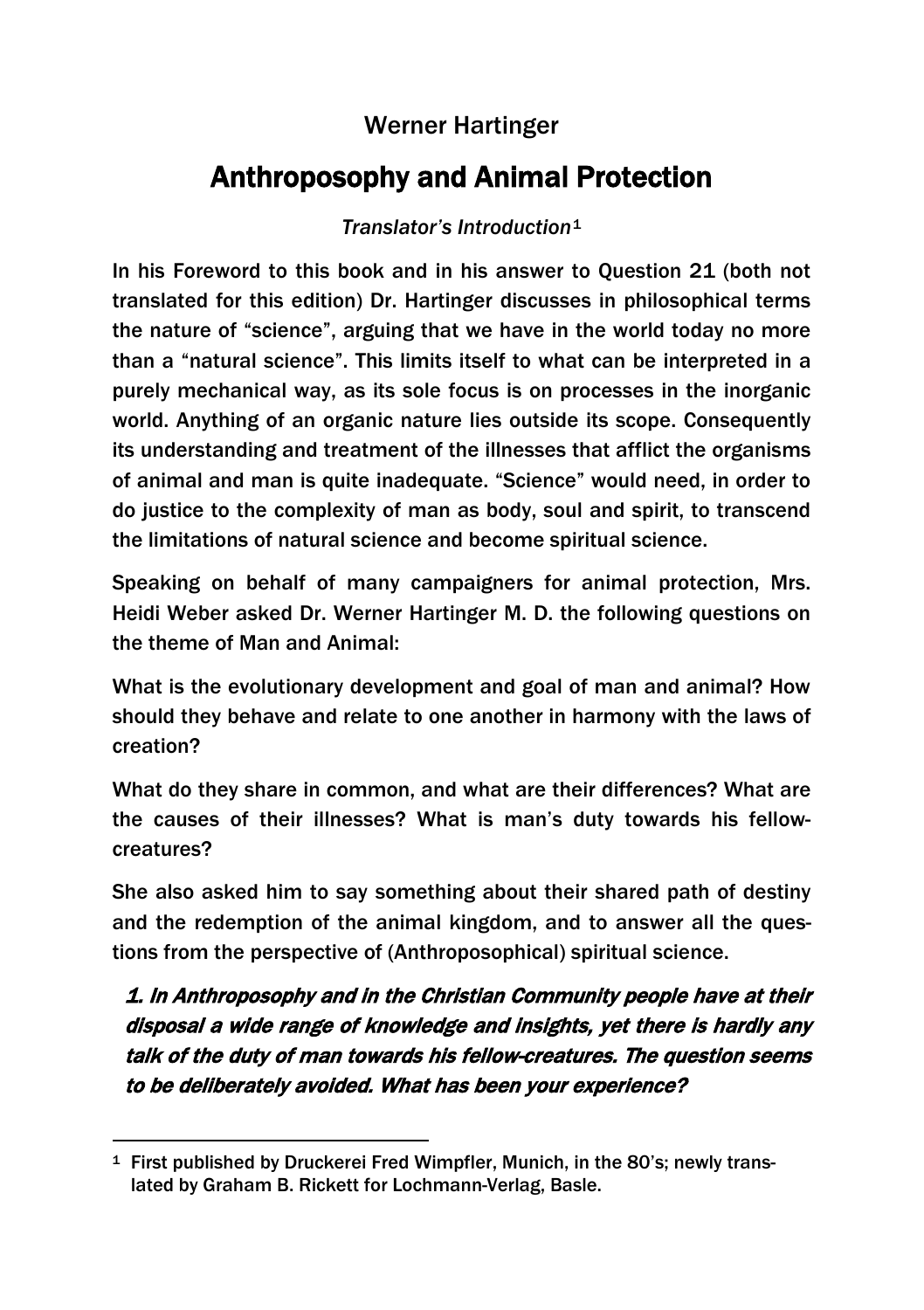# Anthroposophy and Animal Protection

### *Translator's Introduction*[1](#page-0-0)

In his Foreword to this book and in his answer to Question 21 (both not translated for this edition) Dr. Hartinger discusses in philosophical terms the nature of "science", arguing that we have in the world today no more than a "natural science". This limits itself to what can be interpreted in a purely mechanical way, as its sole focus is on processes in the inorganic world. Anything of an organic nature lies outside its scope. Consequently its understanding and treatment of the illnesses that afflict the organisms of animal and man is quite inadequate. "Science" would need, in order to do justice to the complexity of man as body, soul and spirit, to transcend the limitations of natural science and become spiritual science.

Speaking on behalf of many campaigners for animal protection, Mrs. Heidi Weber asked Dr. Werner Hartinger M. D. the following questions on the theme of Man and Animal:

What is the evolutionary development and goal of man and animal? How should they behave and relate to one another in harmony with the laws of creation?

What do they share in common, and what are their differences? What are the causes of their illnesses? What is man's duty towards his fellowcreatures?

She also asked him to say something about their shared path of destiny and the redemption of the animal kingdom, and to answer all the questions from the perspective of (Anthroposophical) spiritual science.

1. In Anthroposophy and in the Christian Community people have at their disposal a wide range of knowledge and insights, yet there is hardly any talk of the duty of man towards his fellow-creatures. The question seems to be deliberately avoided. What has been your experience?

<span id="page-0-0"></span> $\overline{\phantom{a}}$ <sup>1</sup> First published by Druckerei Fred Wimpfler, Munich, in the 80's; newly translated by Graham B. Rickett for Lochmann-Verlag, Basle.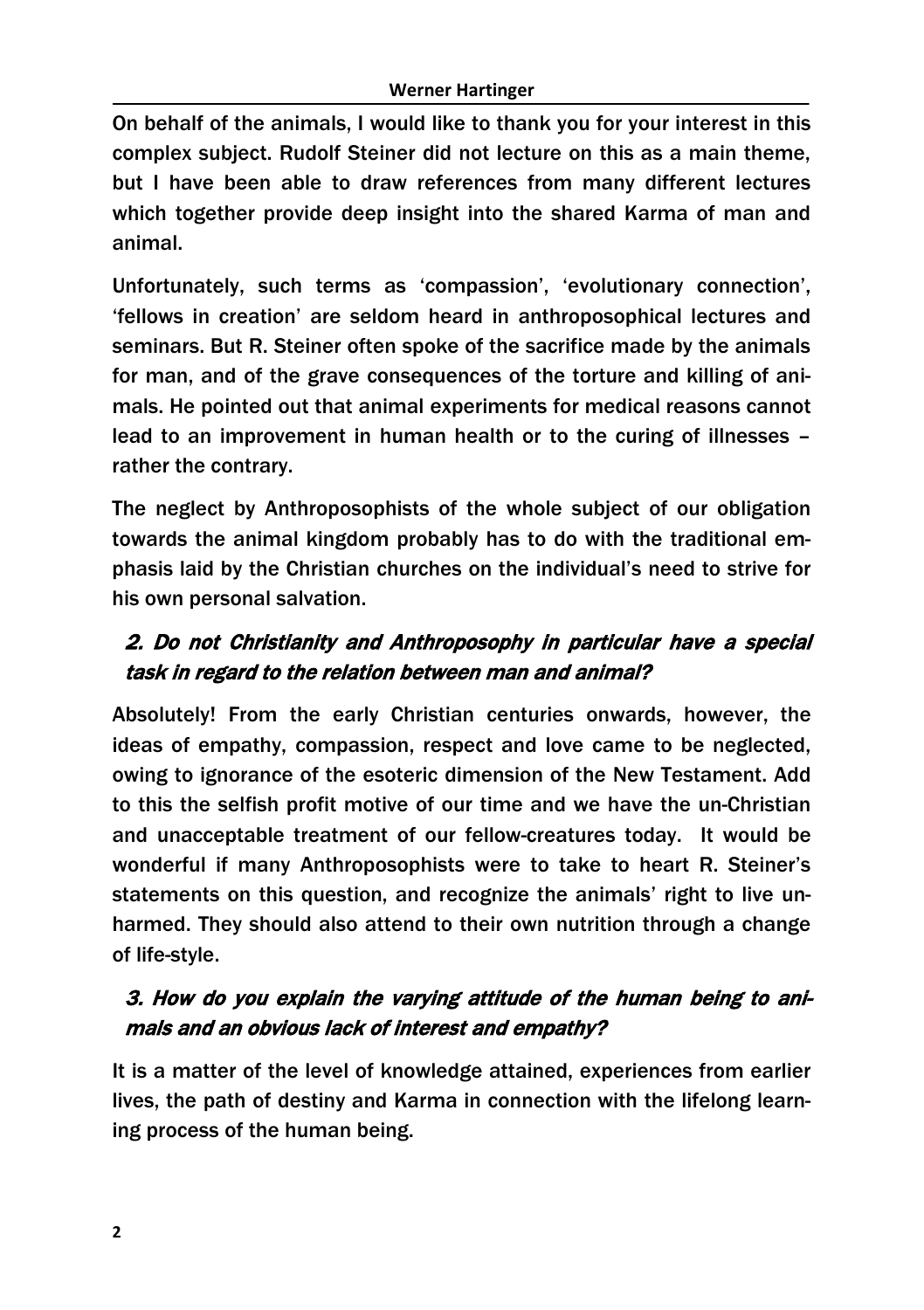On behalf of the animals, I would like to thank you for your interest in this complex subject. Rudolf Steiner did not lecture on this as a main theme, but I have been able to draw references from many different lectures which together provide deep insight into the shared Karma of man and animal.

Unfortunately, such terms as 'compassion', 'evolutionary connection', 'fellows in creation' are seldom heard in anthroposophical lectures and seminars. But R. Steiner often spoke of the sacrifice made by the animals for man, and of the grave consequences of the torture and killing of animals. He pointed out that animal experiments for medical reasons cannot lead to an improvement in human health or to the curing of illnesses – rather the contrary.

The neglect by Anthroposophists of the whole subject of our obligation towards the animal kingdom probably has to do with the traditional emphasis laid by the Christian churches on the individual's need to strive for his own personal salvation.

# 2. Do not Christianity and Anthroposophy in particular have a special task in regard to the relation between man and animal?

Absolutely! From the early Christian centuries onwards, however, the ideas of empathy, compassion, respect and love came to be neglected, owing to ignorance of the esoteric dimension of the New Testament. Add to this the selfish profit motive of our time and we have the un-Christian and unacceptable treatment of our fellow-creatures today. It would be wonderful if many Anthroposophists were to take to heart R. Steiner's statements on this question, and recognize the animals' right to live unharmed. They should also attend to their own nutrition through a change of life-style.

# 3. How do you explain the varying attitude of the human being to animals and an obvious lack of interest and empathy?

It is a matter of the level of knowledge attained, experiences from earlier lives, the path of destiny and Karma in connection with the lifelong learning process of the human being.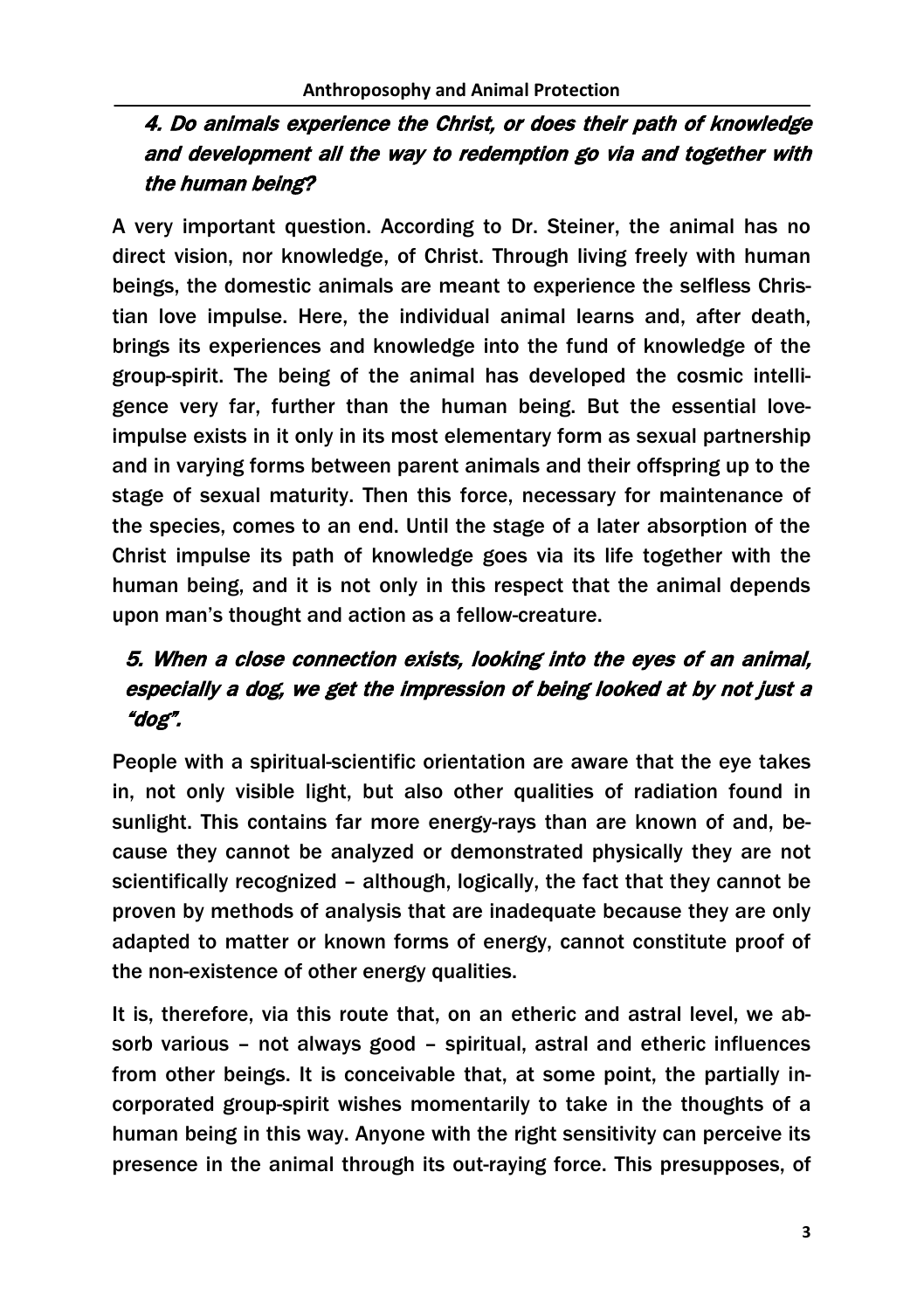## 4. Do animals experience the Christ, or does their path of knowledge and development all the way to redemption go via and together with the human being?

A very important question. According to Dr. Steiner, the animal has no direct vision, nor knowledge, of Christ. Through living freely with human beings, the domestic animals are meant to experience the selfless Christian love impulse. Here, the individual animal learns and, after death, brings its experiences and knowledge into the fund of knowledge of the group-spirit. The being of the animal has developed the cosmic intelligence very far, further than the human being. But the essential loveimpulse exists in it only in its most elementary form as sexual partnership and in varying forms between parent animals and their offspring up to the stage of sexual maturity. Then this force, necessary for maintenance of the species, comes to an end. Until the stage of a later absorption of the Christ impulse its path of knowledge goes via its life together with the human being, and it is not only in this respect that the animal depends upon man's thought and action as a fellow-creature.

# 5. When a close connection exists, looking into the eyes of an animal, especially a dog, we get the impression of being looked at by not just a "dog".

People with a spiritual-scientific orientation are aware that the eye takes in, not only visible light, but also other qualities of radiation found in sunlight. This contains far more energy-rays than are known of and, because they cannot be analyzed or demonstrated physically they are not scientifically recognized – although, logically, the fact that they cannot be proven by methods of analysis that are inadequate because they are only adapted to matter or known forms of energy, cannot constitute proof of the non-existence of other energy qualities.

It is, therefore, via this route that, on an etheric and astral level, we absorb various – not always good – spiritual, astral and etheric influences from other beings. It is conceivable that, at some point, the partially incorporated group-spirit wishes momentarily to take in the thoughts of a human being in this way. Anyone with the right sensitivity can perceive its presence in the animal through its out-raying force. This presupposes, of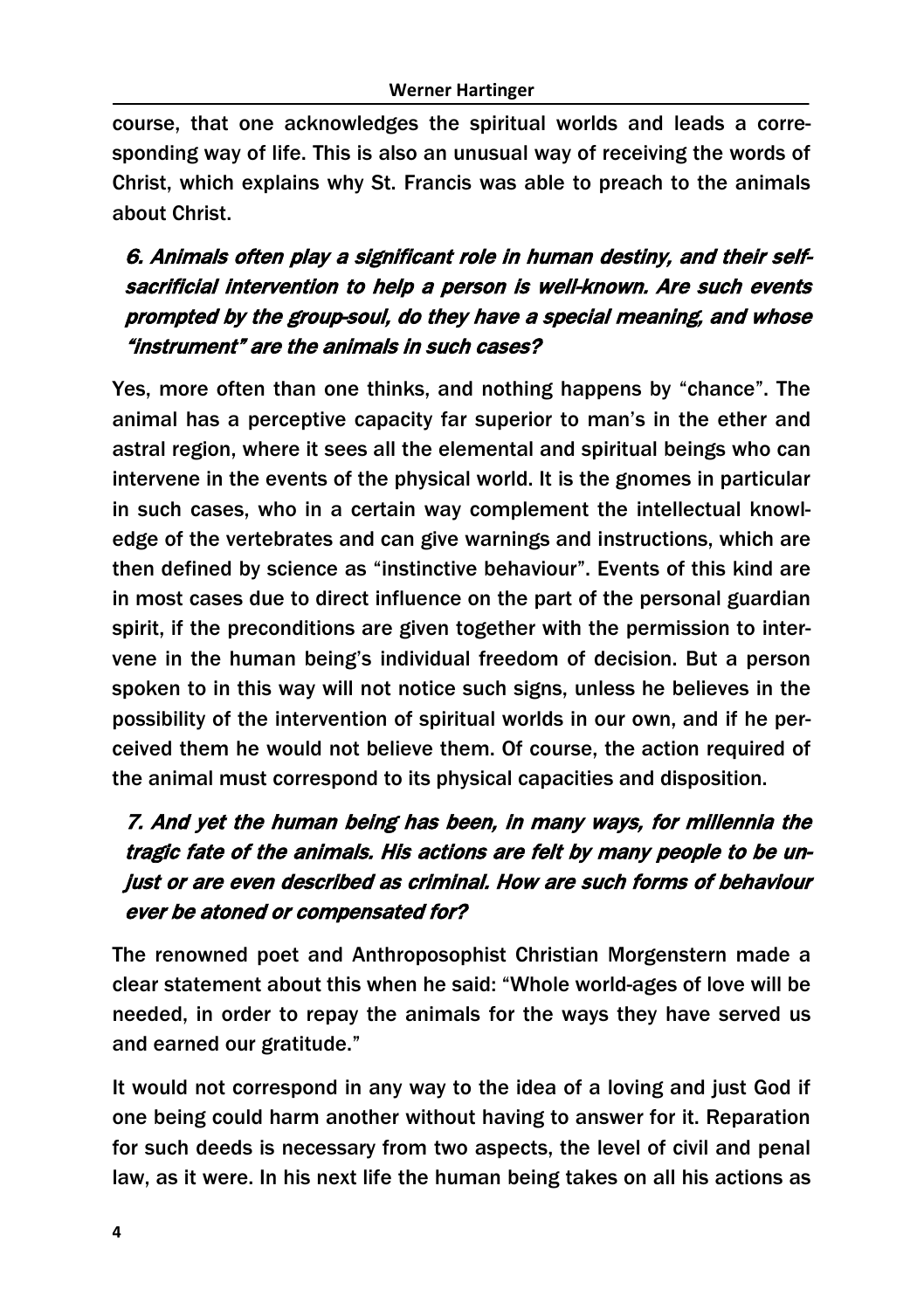course, that one acknowledges the spiritual worlds and leads a corresponding way of life. This is also an unusual way of receiving the words of Christ, which explains why St. Francis was able to preach to the animals about Christ.

# 6. Animals often play a significant role in human destiny, and their selfsacrificial intervention to help a person is well-known. Are such events prompted by the group-soul, do they have a special meaning, and whose "instrument" are the animals in such cases?

Yes, more often than one thinks, and nothing happens by "chance". The animal has a perceptive capacity far superior to man's in the ether and astral region, where it sees all the elemental and spiritual beings who can intervene in the events of the physical world. It is the gnomes in particular in such cases, who in a certain way complement the intellectual knowledge of the vertebrates and can give warnings and instructions, which are then defined by science as "instinctive behaviour". Events of this kind are in most cases due to direct influence on the part of the personal guardian spirit, if the preconditions are given together with the permission to intervene in the human being's individual freedom of decision. But a person spoken to in this way will not notice such signs, unless he believes in the possibility of the intervention of spiritual worlds in our own, and if he perceived them he would not believe them. Of course, the action required of the animal must correspond to its physical capacities and disposition.

# 7. And yet the human being has been, in many ways, for millennia the tragic fate of the animals. His actions are felt by many people to be unjust or are even described as criminal. How are such forms of behaviour ever be atoned or compensated for?

The renowned poet and Anthroposophist Christian Morgenstern made a clear statement about this when he said: "Whole world-ages of love will be needed, in order to repay the animals for the ways they have served us and earned our gratitude."

It would not correspond in any way to the idea of a loving and just God if one being could harm another without having to answer for it. Reparation for such deeds is necessary from two aspects, the level of civil and penal law, as it were. In his next life the human being takes on all his actions as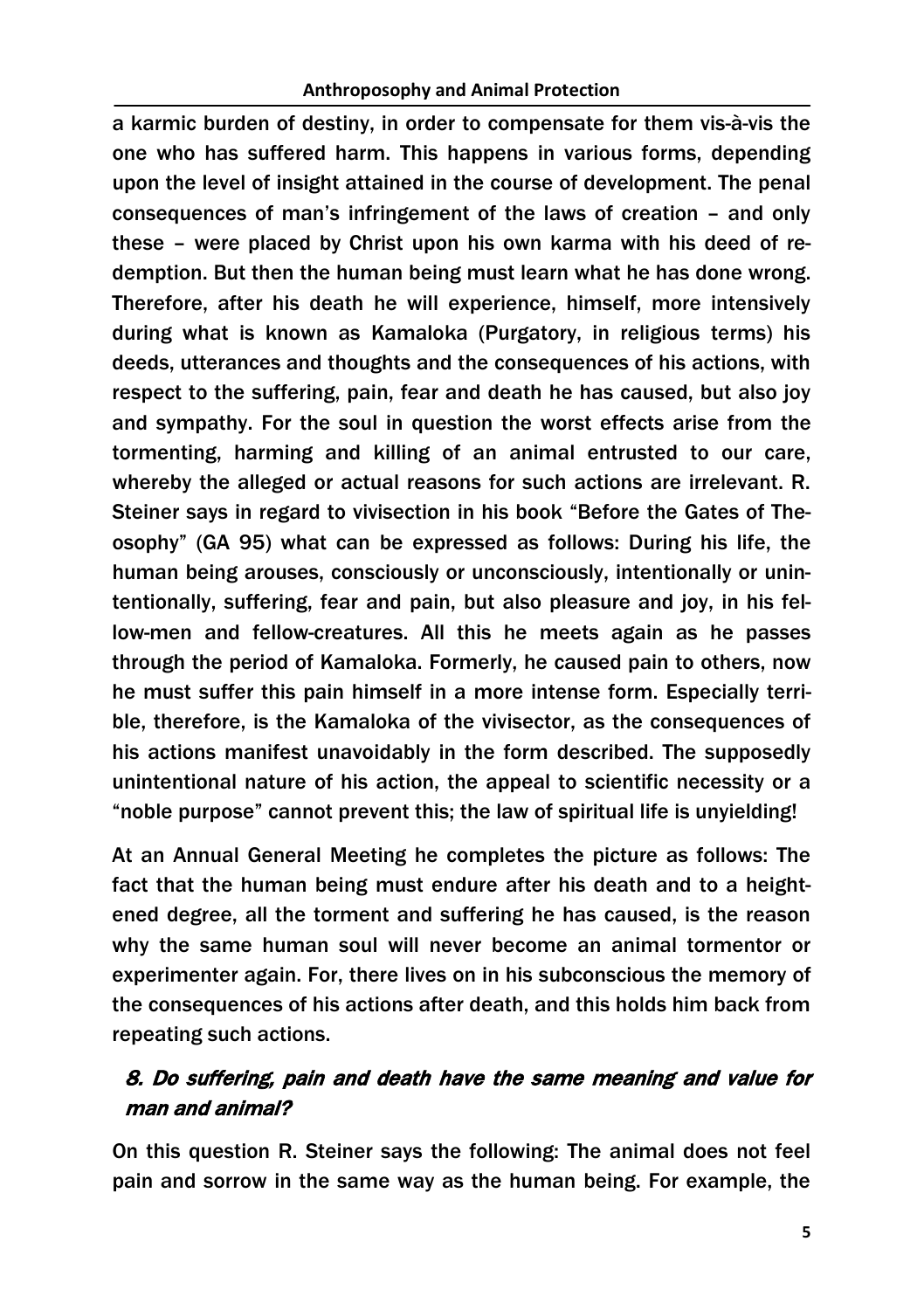a karmic burden of destiny, in order to compensate for them vis-à-vis the one who has suffered harm. This happens in various forms, depending upon the level of insight attained in the course of development. The penal consequences of man's infringement of the laws of creation – and only these – were placed by Christ upon his own karma with his deed of redemption. But then the human being must learn what he has done wrong. Therefore, after his death he will experience, himself, more intensively during what is known as Kamaloka (Purgatory, in religious terms) his deeds, utterances and thoughts and the consequences of his actions, with respect to the suffering, pain, fear and death he has caused, but also joy and sympathy. For the soul in question the worst effects arise from the tormenting, harming and killing of an animal entrusted to our care, whereby the alleged or actual reasons for such actions are irrelevant. R. Steiner says in regard to vivisection in his book "Before the Gates of Theosophy" (GA 95) what can be expressed as follows: During his life, the human being arouses, consciously or unconsciously, intentionally or unintentionally, suffering, fear and pain, but also pleasure and joy, in his fellow-men and fellow-creatures. All this he meets again as he passes through the period of Kamaloka. Formerly, he caused pain to others, now he must suffer this pain himself in a more intense form. Especially terrible, therefore, is the Kamaloka of the vivisector, as the consequences of his actions manifest unavoidably in the form described. The supposedly unintentional nature of his action, the appeal to scientific necessity or a "noble purpose" cannot prevent this; the law of spiritual life is unyielding!

At an Annual General Meeting he completes the picture as follows: The fact that the human being must endure after his death and to a heightened degree, all the torment and suffering he has caused, is the reason why the same human soul will never become an animal tormentor or experimenter again. For, there lives on in his subconscious the memory of the consequences of his actions after death, and this holds him back from repeating such actions.

### 8. Do suffering, pain and death have the same meaning and value for man and animal?

On this question R. Steiner says the following: The animal does not feel pain and sorrow in the same way as the human being. For example, the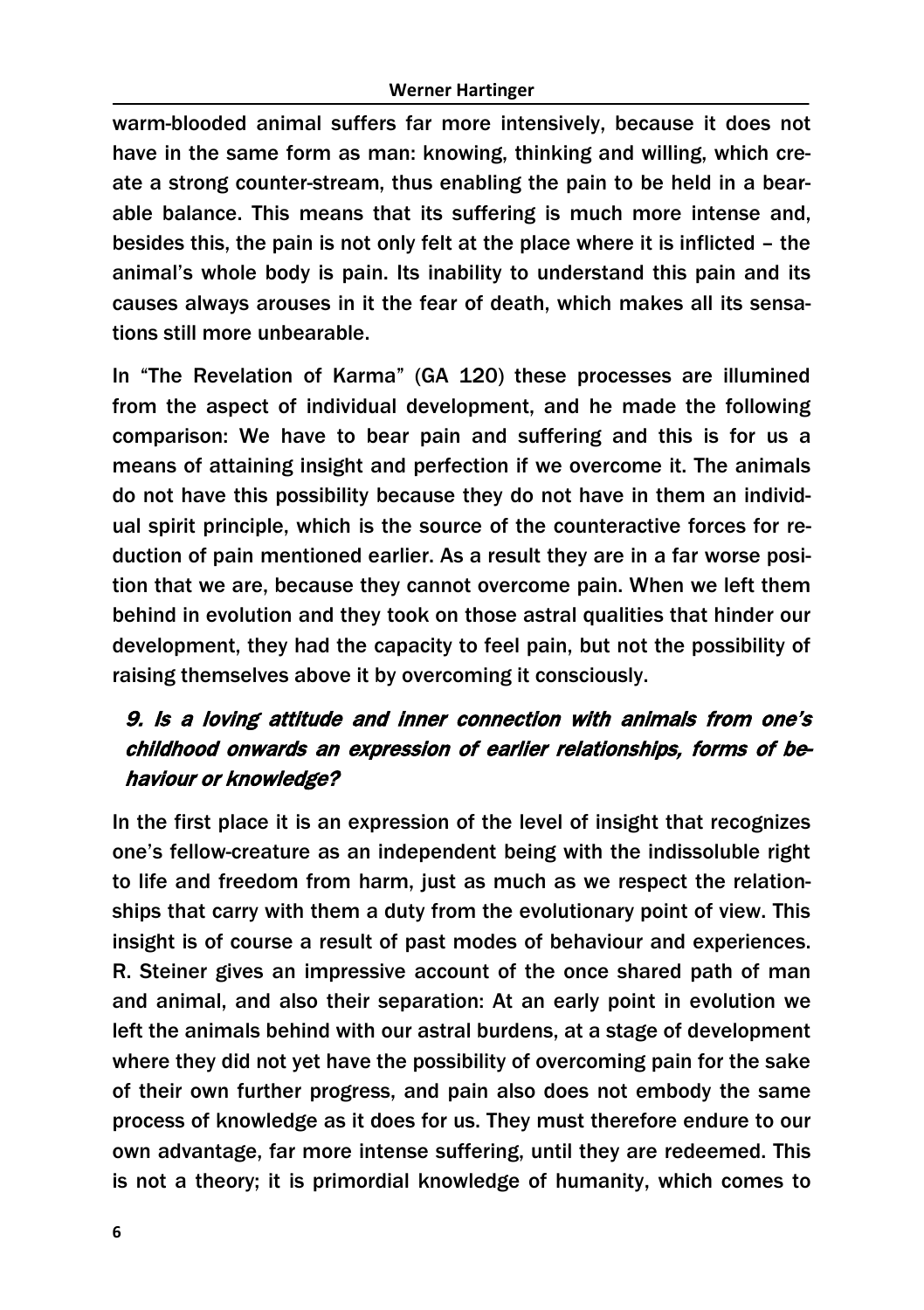warm-blooded animal suffers far more intensively, because it does not have in the same form as man: knowing, thinking and willing, which create a strong counter-stream, thus enabling the pain to be held in a bearable balance. This means that its suffering is much more intense and, besides this, the pain is not only felt at the place where it is inflicted – the animal's whole body is pain. Its inability to understand this pain and its causes always arouses in it the fear of death, which makes all its sensations still more unbearable.

In "The Revelation of Karma" (GA 120) these processes are illumined from the aspect of individual development, and he made the following comparison: We have to bear pain and suffering and this is for us a means of attaining insight and perfection if we overcome it. The animals do not have this possibility because they do not have in them an individual spirit principle, which is the source of the counteractive forces for reduction of pain mentioned earlier. As a result they are in a far worse position that we are, because they cannot overcome pain. When we left them behind in evolution and they took on those astral qualities that hinder our development, they had the capacity to feel pain, but not the possibility of raising themselves above it by overcoming it consciously.

### 9. Is a loving attitude and inner connection with animals from one's childhood onwards an expression of earlier relationships, forms of behaviour or knowledge?

In the first place it is an expression of the level of insight that recognizes one's fellow-creature as an independent being with the indissoluble right to life and freedom from harm, just as much as we respect the relationships that carry with them a duty from the evolutionary point of view. This insight is of course a result of past modes of behaviour and experiences. R. Steiner gives an impressive account of the once shared path of man and animal, and also their separation: At an early point in evolution we left the animals behind with our astral burdens, at a stage of development where they did not yet have the possibility of overcoming pain for the sake of their own further progress, and pain also does not embody the same process of knowledge as it does for us. They must therefore endure to our own advantage, far more intense suffering, until they are redeemed. This is not a theory; it is primordial knowledge of humanity, which comes to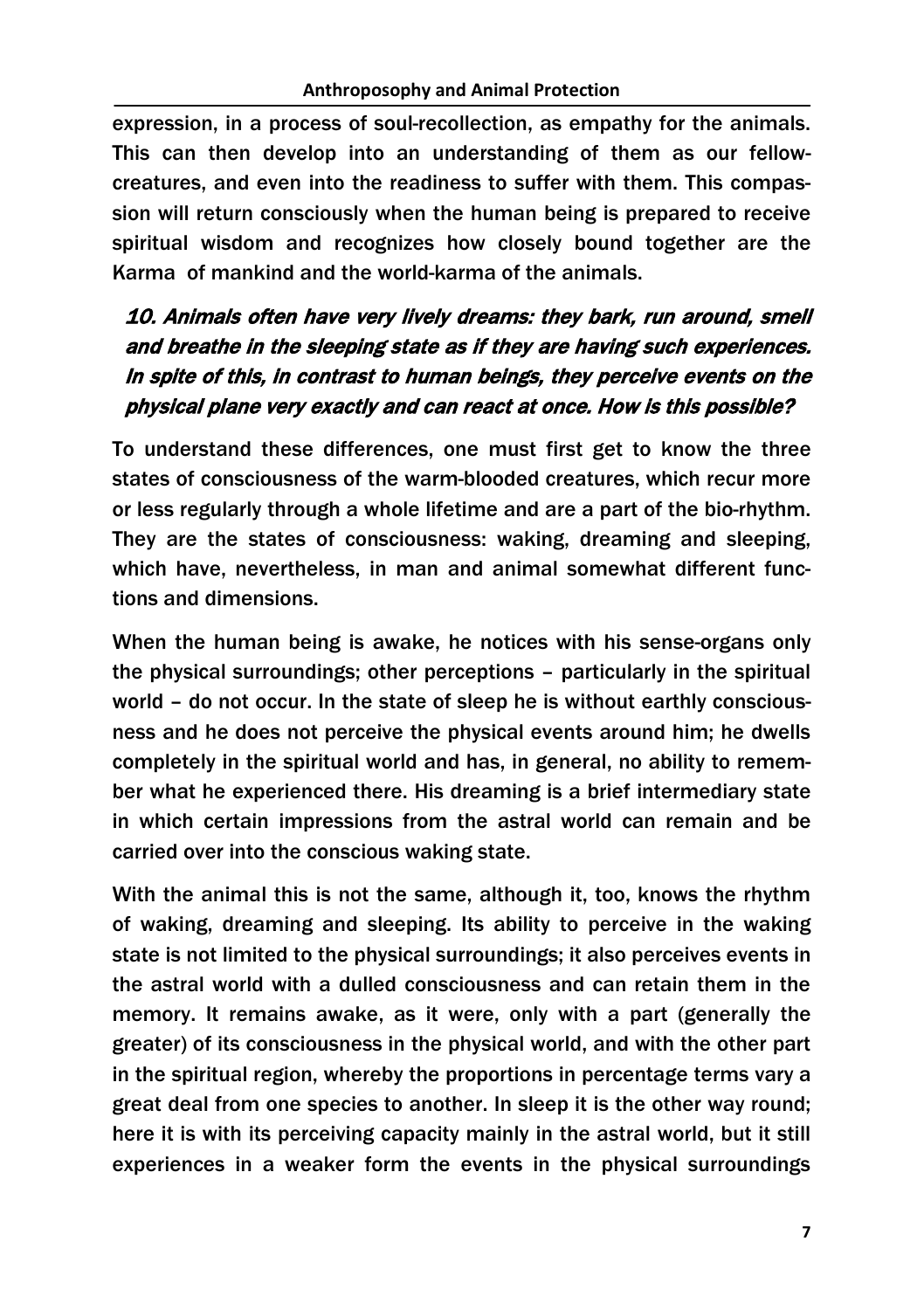expression, in a process of soul-recollection, as empathy for the animals. This can then develop into an understanding of them as our fellowcreatures, and even into the readiness to suffer with them. This compassion will return consciously when the human being is prepared to receive spiritual wisdom and recognizes how closely bound together are the Karma of mankind and the world-karma of the animals.

# 10. Animals often have very lively dreams: they bark, run around, smell and breathe in the sleeping state as if they are having such experiences. In spite of this, in contrast to human beings, they perceive events on the physical plane very exactly and can react at once. How is this possible?

To understand these differences, one must first get to know the three states of consciousness of the warm-blooded creatures, which recur more or less regularly through a whole lifetime and are a part of the bio-rhythm. They are the states of consciousness: waking, dreaming and sleeping, which have, nevertheless, in man and animal somewhat different functions and dimensions.

When the human being is awake, he notices with his sense-organs only the physical surroundings; other perceptions – particularly in the spiritual world – do not occur. In the state of sleep he is without earthly consciousness and he does not perceive the physical events around him; he dwells completely in the spiritual world and has, in general, no ability to remember what he experienced there. His dreaming is a brief intermediary state in which certain impressions from the astral world can remain and be carried over into the conscious waking state.

With the animal this is not the same, although it, too, knows the rhythm of waking, dreaming and sleeping. Its ability to perceive in the waking state is not limited to the physical surroundings; it also perceives events in the astral world with a dulled consciousness and can retain them in the memory. It remains awake, as it were, only with a part (generally the greater) of its consciousness in the physical world, and with the other part in the spiritual region, whereby the proportions in percentage terms vary a great deal from one species to another. In sleep it is the other way round; here it is with its perceiving capacity mainly in the astral world, but it still experiences in a weaker form the events in the physical surroundings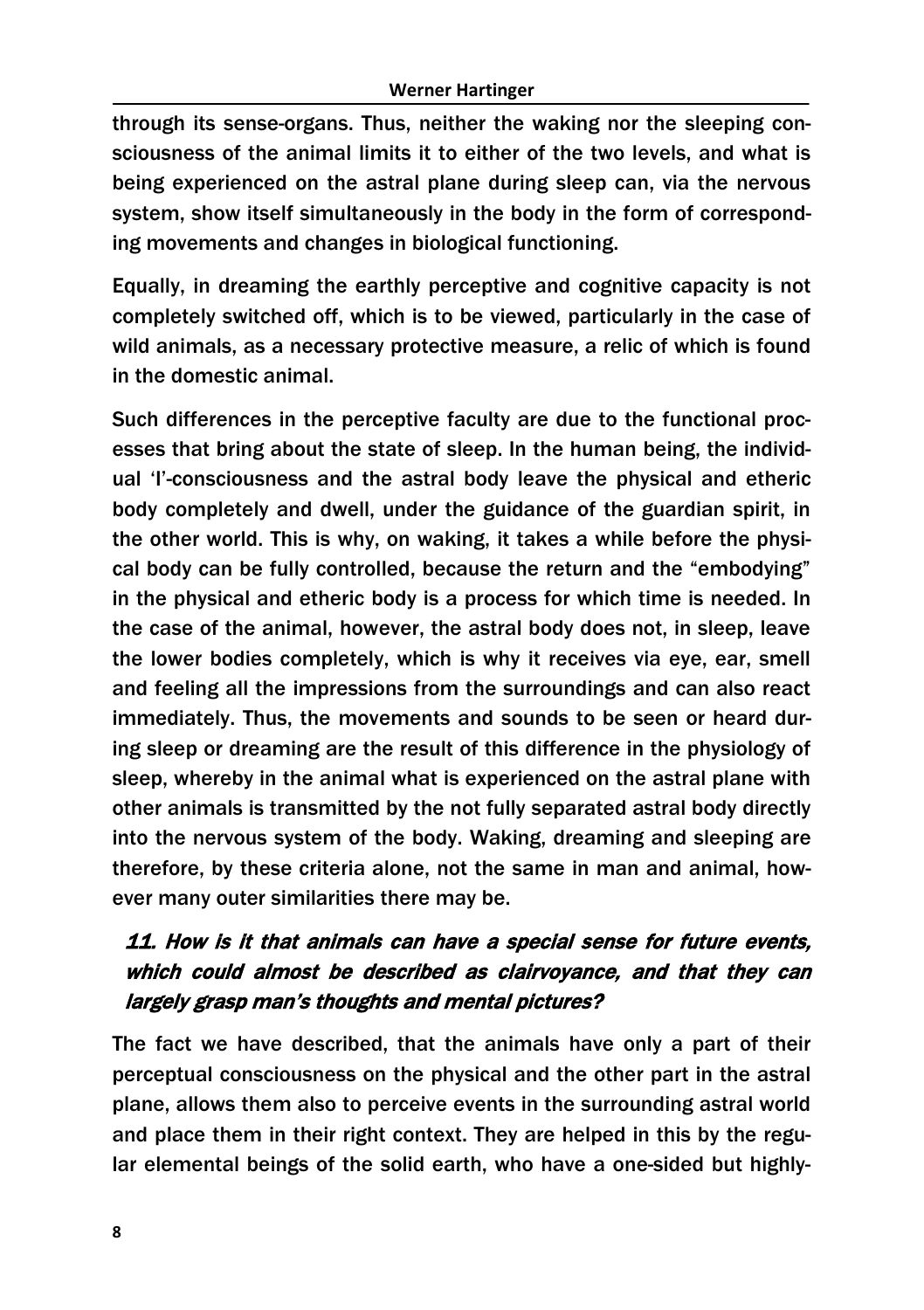through its sense-organs. Thus, neither the waking nor the sleeping consciousness of the animal limits it to either of the two levels, and what is being experienced on the astral plane during sleep can, via the nervous system, show itself simultaneously in the body in the form of corresponding movements and changes in biological functioning.

Equally, in dreaming the earthly perceptive and cognitive capacity is not completely switched off, which is to be viewed, particularly in the case of wild animals, as a necessary protective measure, a relic of which is found in the domestic animal.

Such differences in the perceptive faculty are due to the functional processes that bring about the state of sleep. In the human being, the individual 'I'-consciousness and the astral body leave the physical and etheric body completely and dwell, under the guidance of the guardian spirit, in the other world. This is why, on waking, it takes a while before the physical body can be fully controlled, because the return and the "embodying" in the physical and etheric body is a process for which time is needed. In the case of the animal, however, the astral body does not, in sleep, leave the lower bodies completely, which is why it receives via eye, ear, smell and feeling all the impressions from the surroundings and can also react immediately. Thus, the movements and sounds to be seen or heard during sleep or dreaming are the result of this difference in the physiology of sleep, whereby in the animal what is experienced on the astral plane with other animals is transmitted by the not fully separated astral body directly into the nervous system of the body. Waking, dreaming and sleeping are therefore, by these criteria alone, not the same in man and animal, however many outer similarities there may be.

### 11. How is it that animals can have a special sense for future events, which could almost be described as clairvoyance, and that they can largely grasp man's thoughts and mental pictures?

The fact we have described, that the animals have only a part of their perceptual consciousness on the physical and the other part in the astral plane, allows them also to perceive events in the surrounding astral world and place them in their right context. They are helped in this by the regular elemental beings of the solid earth, who have a one-sided but highly-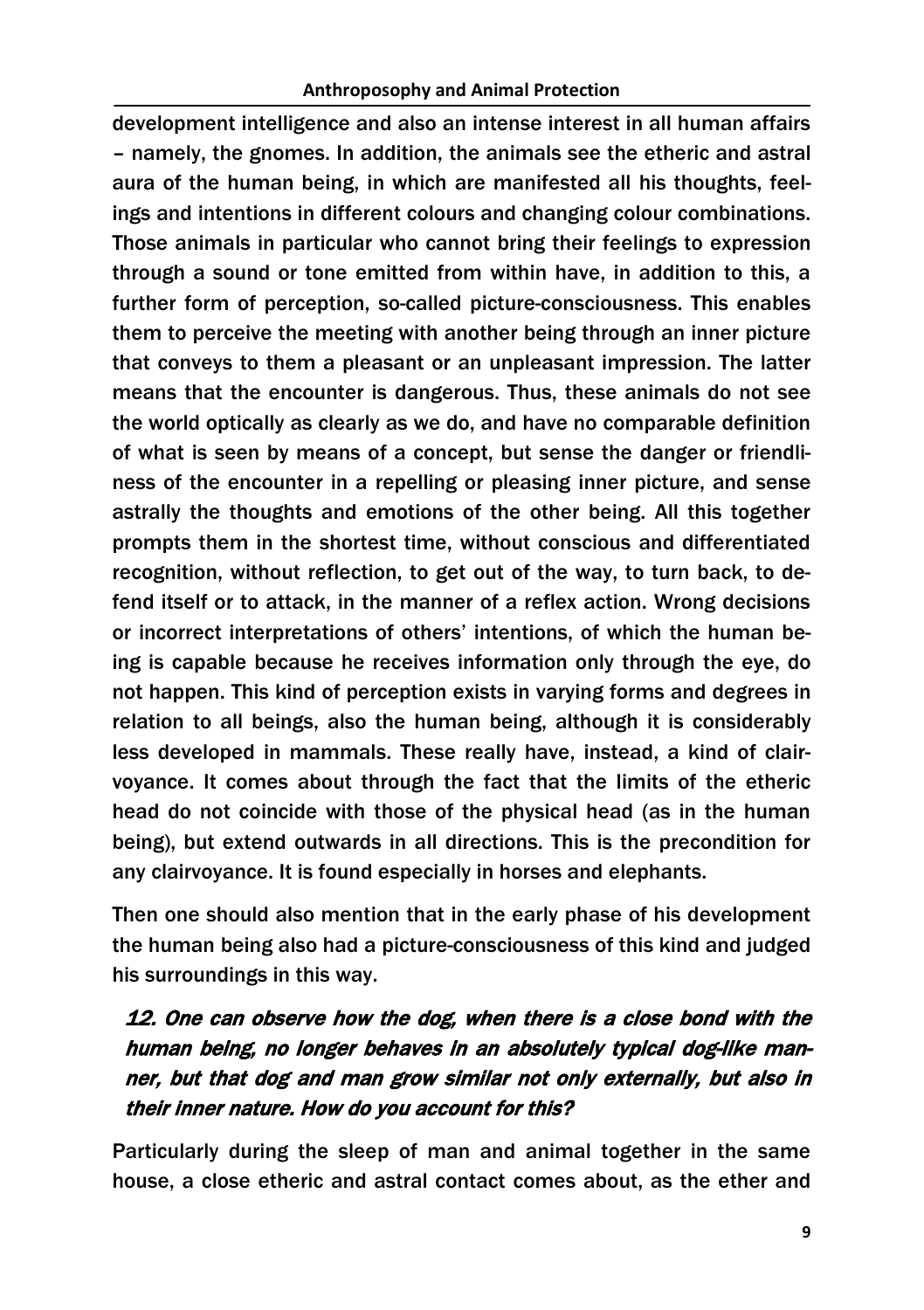development intelligence and also an intense interest in all human affairs – namely, the gnomes. In addition, the animals see the etheric and astral aura of the human being, in which are manifested all his thoughts, feelings and intentions in different colours and changing colour combinations. Those animals in particular who cannot bring their feelings to expression through a sound or tone emitted from within have, in addition to this, a further form of perception, so-called picture-consciousness. This enables them to perceive the meeting with another being through an inner picture that conveys to them a pleasant or an unpleasant impression. The latter means that the encounter is dangerous. Thus, these animals do not see the world optically as clearly as we do, and have no comparable definition of what is seen by means of a concept, but sense the danger or friendliness of the encounter in a repelling or pleasing inner picture, and sense astrally the thoughts and emotions of the other being. All this together prompts them in the shortest time, without conscious and differentiated recognition, without reflection, to get out of the way, to turn back, to defend itself or to attack, in the manner of a reflex action. Wrong decisions or incorrect interpretations of others' intentions, of which the human being is capable because he receives information only through the eye, do not happen. This kind of perception exists in varying forms and degrees in relation to all beings, also the human being, although it is considerably less developed in mammals. These really have, instead, a kind of clairvoyance. It comes about through the fact that the limits of the etheric head do not coincide with those of the physical head (as in the human being), but extend outwards in all directions. This is the precondition for any clairvoyance. It is found especially in horses and elephants.

Then one should also mention that in the early phase of his development the human being also had a picture-consciousness of this kind and judged his surroundings in this way.

# 12. One can observe how the dog, when there is a close bond with the human being, no longer behaves in an absolutely typical dog-like manner, but that dog and man grow similar not only externally, but also in their inner nature. How do you account for this?

Particularly during the sleep of man and animal together in the same house, a close etheric and astral contact comes about, as the ether and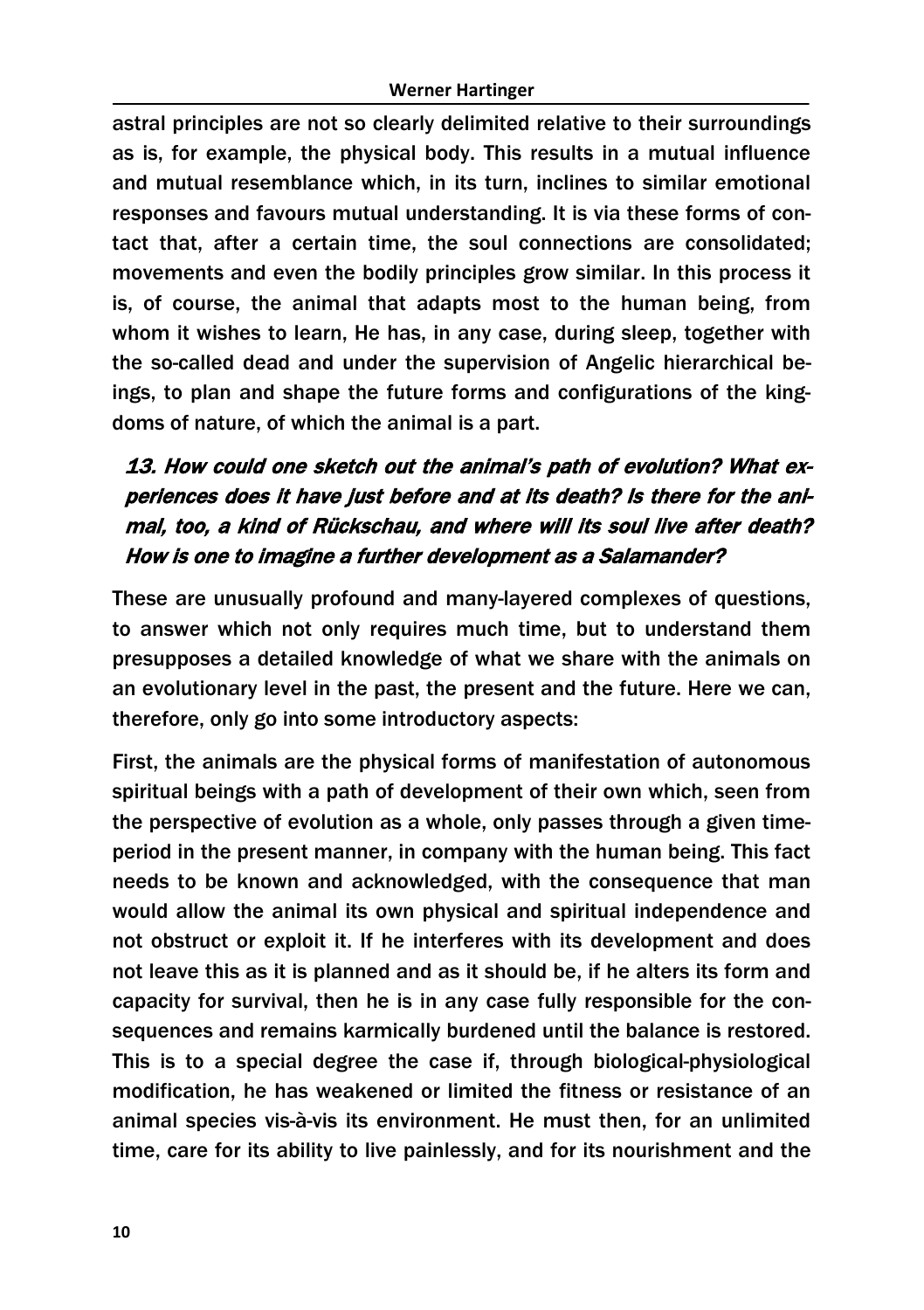astral principles are not so clearly delimited relative to their surroundings as is, for example, the physical body. This results in a mutual influence and mutual resemblance which, in its turn, inclines to similar emotional responses and favours mutual understanding. It is via these forms of contact that, after a certain time, the soul connections are consolidated; movements and even the bodily principles grow similar. In this process it is, of course, the animal that adapts most to the human being, from whom it wishes to learn, He has, in any case, during sleep, together with the so-called dead and under the supervision of Angelic hierarchical beings, to plan and shape the future forms and configurations of the kingdoms of nature, of which the animal is a part.

# 13. How could one sketch out the animal's path of evolution? What experiences does it have just before and at its death? Is there for the animal, too, a kind of Rückschau, and where will its soul live after death? How is one to imagine a further development as a Salamander?

These are unusually profound and many-layered complexes of questions, to answer which not only requires much time, but to understand them presupposes a detailed knowledge of what we share with the animals on an evolutionary level in the past, the present and the future. Here we can, therefore, only go into some introductory aspects:

First, the animals are the physical forms of manifestation of autonomous spiritual beings with a path of development of their own which, seen from the perspective of evolution as a whole, only passes through a given timeperiod in the present manner, in company with the human being. This fact needs to be known and acknowledged, with the consequence that man would allow the animal its own physical and spiritual independence and not obstruct or exploit it. If he interferes with its development and does not leave this as it is planned and as it should be, if he alters its form and capacity for survival, then he is in any case fully responsible for the consequences and remains karmically burdened until the balance is restored. This is to a special degree the case if, through biological-physiological modification, he has weakened or limited the fitness or resistance of an animal species vis-à-vis its environment. He must then, for an unlimited time, care for its ability to live painlessly, and for its nourishment and the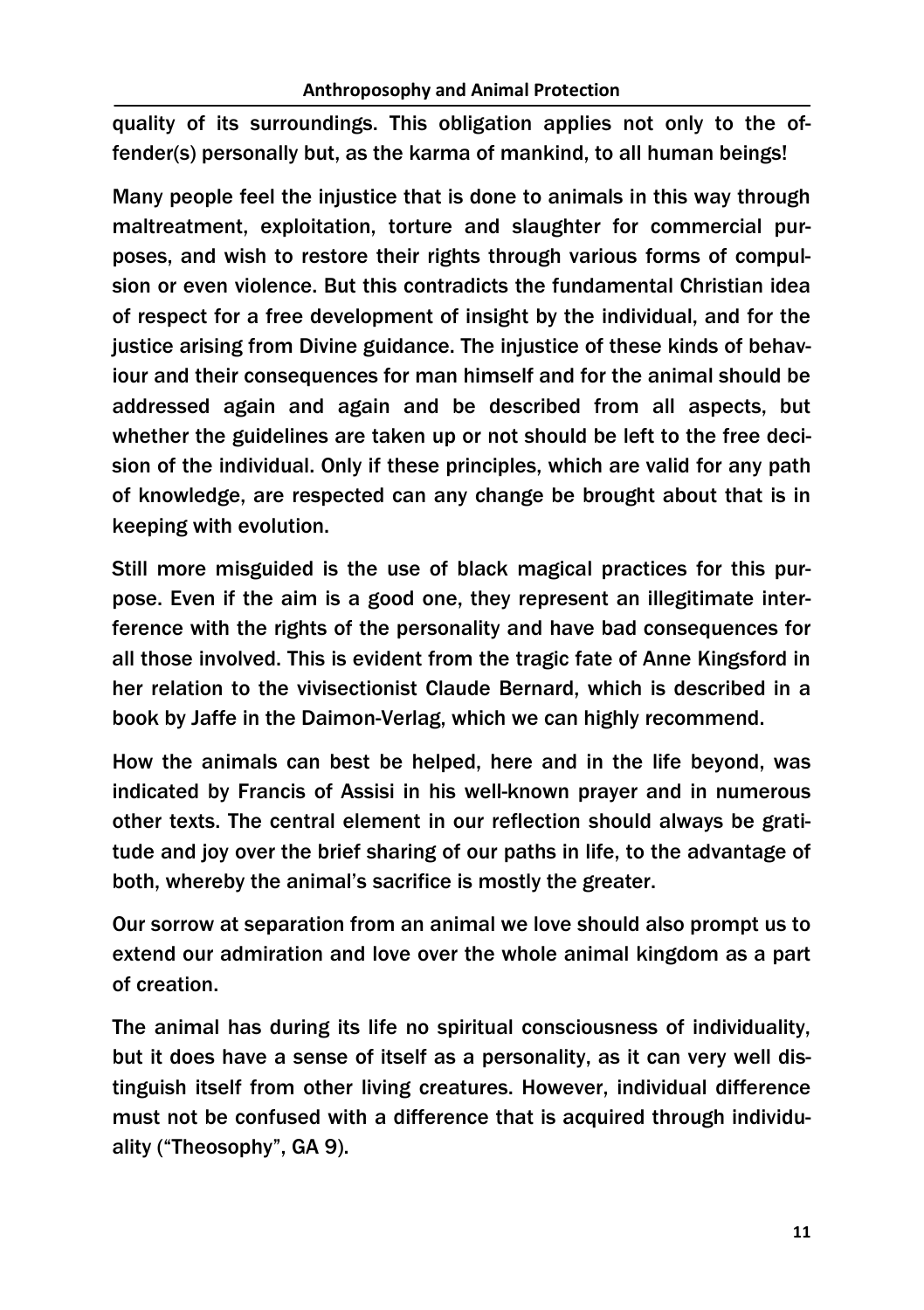quality of its surroundings. This obligation applies not only to the offender(s) personally but, as the karma of mankind, to all human beings!

Many people feel the injustice that is done to animals in this way through maltreatment, exploitation, torture and slaughter for commercial purposes, and wish to restore their rights through various forms of compulsion or even violence. But this contradicts the fundamental Christian idea of respect for a free development of insight by the individual, and for the justice arising from Divine guidance. The injustice of these kinds of behaviour and their consequences for man himself and for the animal should be addressed again and again and be described from all aspects, but whether the guidelines are taken up or not should be left to the free decision of the individual. Only if these principles, which are valid for any path of knowledge, are respected can any change be brought about that is in keeping with evolution.

Still more misguided is the use of black magical practices for this purpose. Even if the aim is a good one, they represent an illegitimate interference with the rights of the personality and have bad consequences for all those involved. This is evident from the tragic fate of Anne Kingsford in her relation to the vivisectionist Claude Bernard, which is described in a book by Jaffe in the Daimon-Verlag, which we can highly recommend.

How the animals can best be helped, here and in the life beyond, was indicated by Francis of Assisi in his well-known prayer and in numerous other texts. The central element in our reflection should always be gratitude and joy over the brief sharing of our paths in life, to the advantage of both, whereby the animal's sacrifice is mostly the greater.

Our sorrow at separation from an animal we love should also prompt us to extend our admiration and love over the whole animal kingdom as a part of creation.

The animal has during its life no spiritual consciousness of individuality, but it does have a sense of itself as a personality, as it can very well distinguish itself from other living creatures. However, individual difference must not be confused with a difference that is acquired through individuality ("Theosophy", GA 9).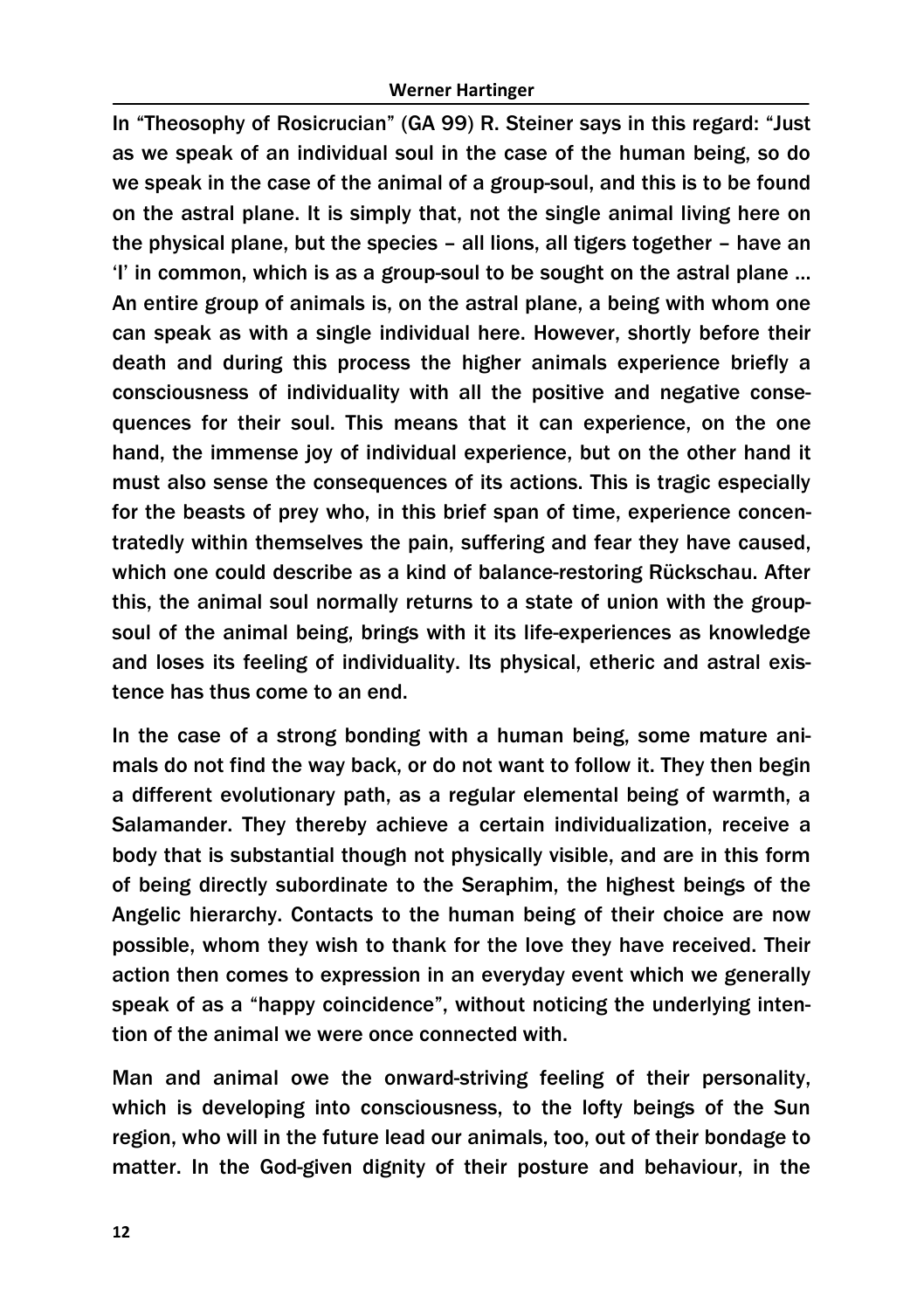In "Theosophy of Rosicrucian" (GA 99) R. Steiner says in this regard: "Just as we speak of an individual soul in the case of the human being, so do we speak in the case of the animal of a group-soul, and this is to be found on the astral plane. It is simply that, not the single animal living here on the physical plane, but the species – all lions, all tigers together – have an 'I' in common, which is as a group-soul to be sought on the astral plane … An entire group of animals is, on the astral plane, a being with whom one can speak as with a single individual here. However, shortly before their death and during this process the higher animals experience briefly a consciousness of individuality with all the positive and negative consequences for their soul. This means that it can experience, on the one hand, the immense joy of individual experience, but on the other hand it must also sense the consequences of its actions. This is tragic especially for the beasts of prey who, in this brief span of time, experience concentratedly within themselves the pain, suffering and fear they have caused, which one could describe as a kind of balance-restoring Rückschau. After this, the animal soul normally returns to a state of union with the groupsoul of the animal being, brings with it its life-experiences as knowledge and loses its feeling of individuality. Its physical, etheric and astral existence has thus come to an end.

In the case of a strong bonding with a human being, some mature animals do not find the way back, or do not want to follow it. They then begin a different evolutionary path, as a regular elemental being of warmth, a Salamander. They thereby achieve a certain individualization, receive a body that is substantial though not physically visible, and are in this form of being directly subordinate to the Seraphim, the highest beings of the Angelic hierarchy. Contacts to the human being of their choice are now possible, whom they wish to thank for the love they have received. Their action then comes to expression in an everyday event which we generally speak of as a "happy coincidence", without noticing the underlying intention of the animal we were once connected with.

Man and animal owe the onward-striving feeling of their personality, which is developing into consciousness, to the lofty beings of the Sun region, who will in the future lead our animals, too, out of their bondage to matter. In the God-given dignity of their posture and behaviour, in the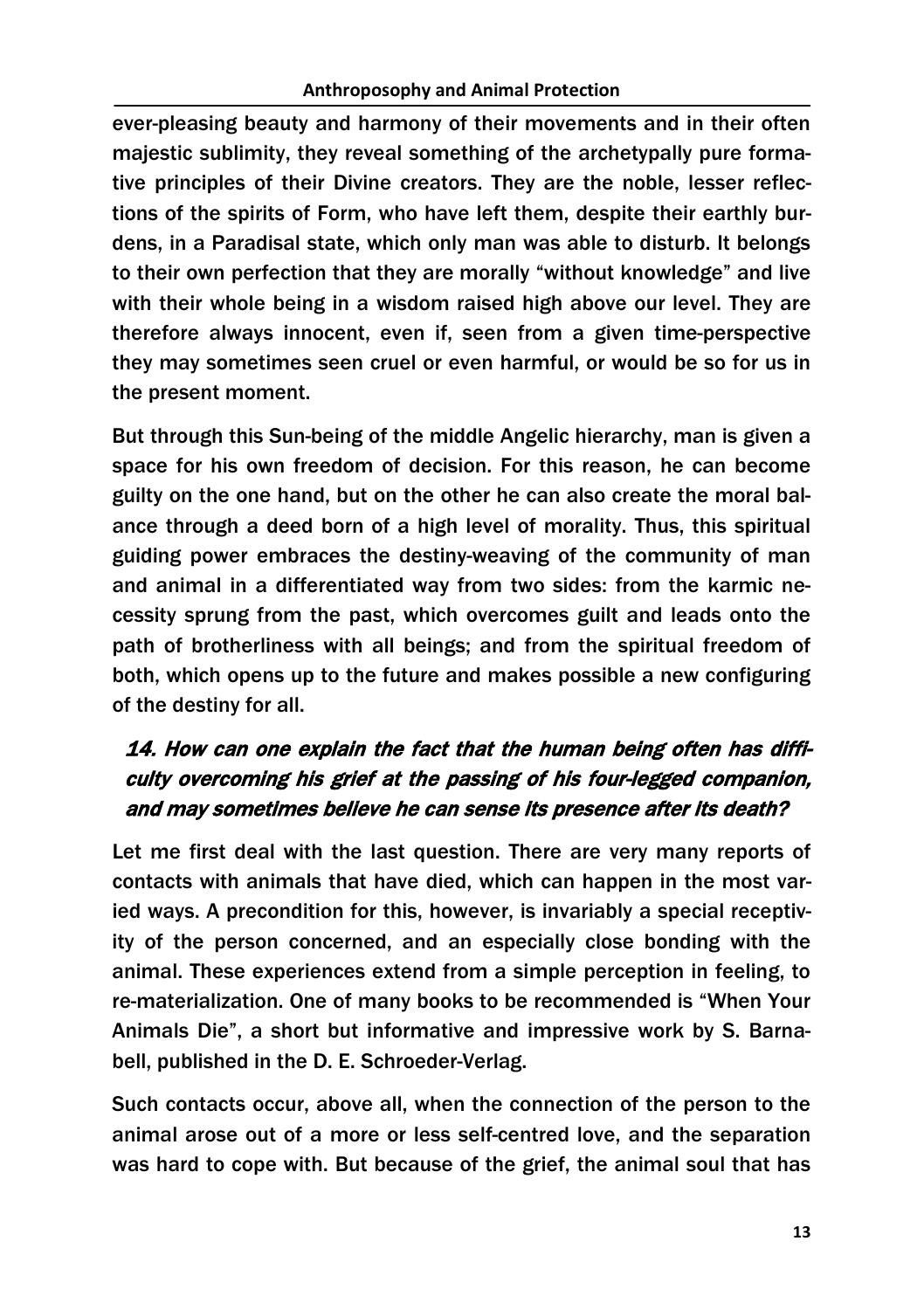ever-pleasing beauty and harmony of their movements and in their often majestic sublimity, they reveal something of the archetypally pure formative principles of their Divine creators. They are the noble, lesser reflections of the spirits of Form, who have left them, despite their earthly burdens, in a Paradisal state, which only man was able to disturb. It belongs to their own perfection that they are morally "without knowledge" and live with their whole being in a wisdom raised high above our level. They are therefore always innocent, even if, seen from a given time-perspective they may sometimes seen cruel or even harmful, or would be so for us in the present moment.

But through this Sun-being of the middle Angelic hierarchy, man is given a space for his own freedom of decision. For this reason, he can become guilty on the one hand, but on the other he can also create the moral balance through a deed born of a high level of morality. Thus, this spiritual guiding power embraces the destiny-weaving of the community of man and animal in a differentiated way from two sides: from the karmic necessity sprung from the past, which overcomes guilt and leads onto the path of brotherliness with all beings; and from the spiritual freedom of both, which opens up to the future and makes possible a new configuring of the destiny for all.

### 14. How can one explain the fact that the human being often has difficulty overcoming his grief at the passing of his four-legged companion, and may sometimes believe he can sense its presence after its death?

Let me first deal with the last question. There are very many reports of contacts with animals that have died, which can happen in the most varied ways. A precondition for this, however, is invariably a special receptivity of the person concerned, and an especially close bonding with the animal. These experiences extend from a simple perception in feeling, to re-materialization. One of many books to be recommended is "When Your Animals Die", a short but informative and impressive work by S. Barnabell, published in the D. E. Schroeder-Verlag.

Such contacts occur, above all, when the connection of the person to the animal arose out of a more or less self-centred love, and the separation was hard to cope with. But because of the grief, the animal soul that has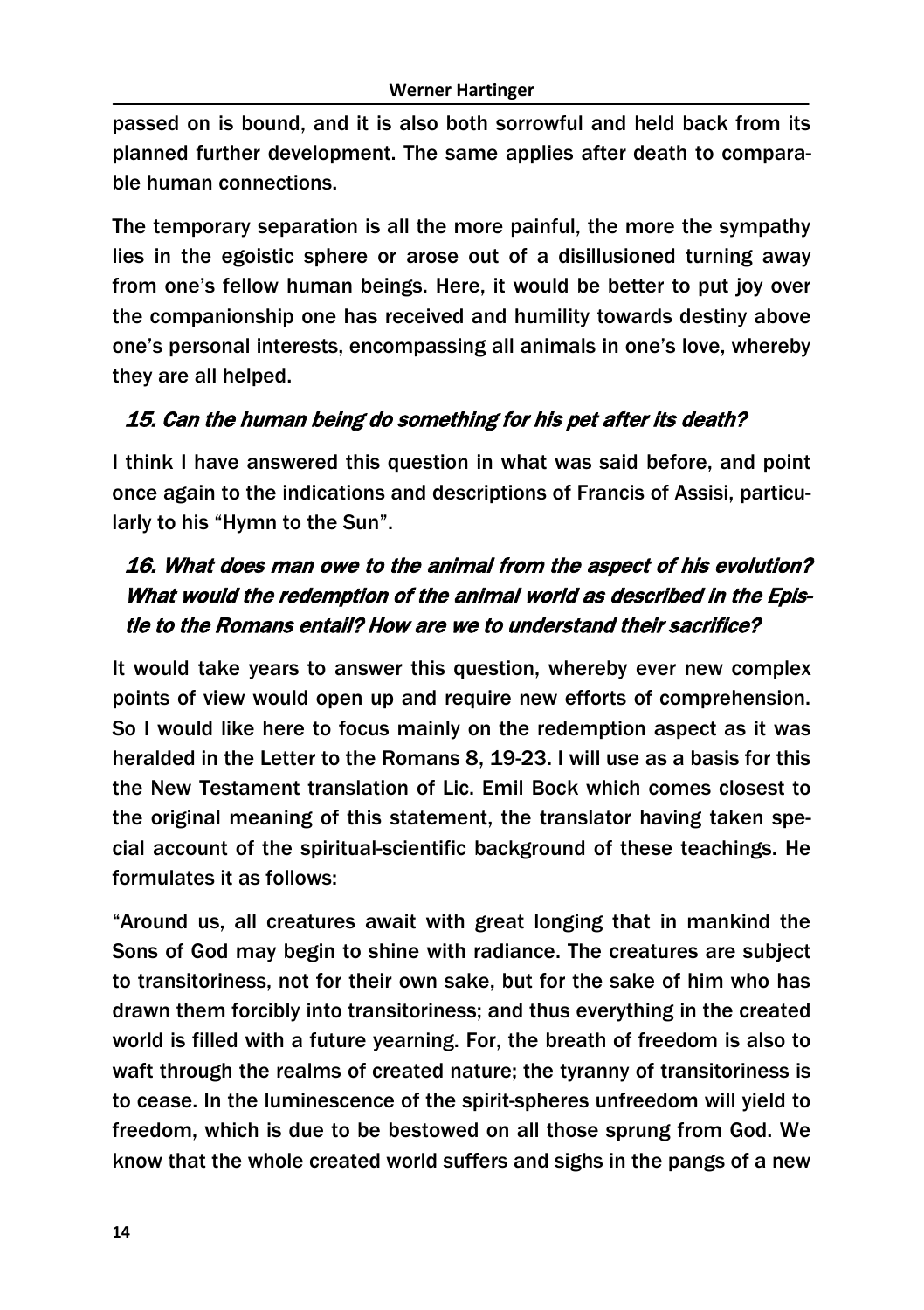passed on is bound, and it is also both sorrowful and held back from its planned further development. The same applies after death to comparable human connections.

The temporary separation is all the more painful, the more the sympathy lies in the egoistic sphere or arose out of a disillusioned turning away from one's fellow human beings. Here, it would be better to put joy over the companionship one has received and humility towards destiny above one's personal interests, encompassing all animals in one's love, whereby they are all helped.

### 15. Can the human being do something for his pet after its death?

I think I have answered this question in what was said before, and point once again to the indications and descriptions of Francis of Assisi, particularly to his "Hymn to the Sun".

# 16. What does man owe to the animal from the aspect of his evolution? What would the redemption of the animal world as described in the Epistle to the Romans entail? How are we to understand their sacrifice?

It would take years to answer this question, whereby ever new complex points of view would open up and require new efforts of comprehension. So I would like here to focus mainly on the redemption aspect as it was heralded in the Letter to the Romans 8, 19-23. I will use as a basis for this the New Testament translation of Lic. Emil Bock which comes closest to the original meaning of this statement, the translator having taken special account of the spiritual-scientific background of these teachings. He formulates it as follows:

"Around us, all creatures await with great longing that in mankind the Sons of God may begin to shine with radiance. The creatures are subject to transitoriness, not for their own sake, but for the sake of him who has drawn them forcibly into transitoriness; and thus everything in the created world is filled with a future yearning. For, the breath of freedom is also to waft through the realms of created nature; the tyranny of transitoriness is to cease. In the luminescence of the spirit-spheres unfreedom will yield to freedom, which is due to be bestowed on all those sprung from God. We know that the whole created world suffers and sighs in the pangs of a new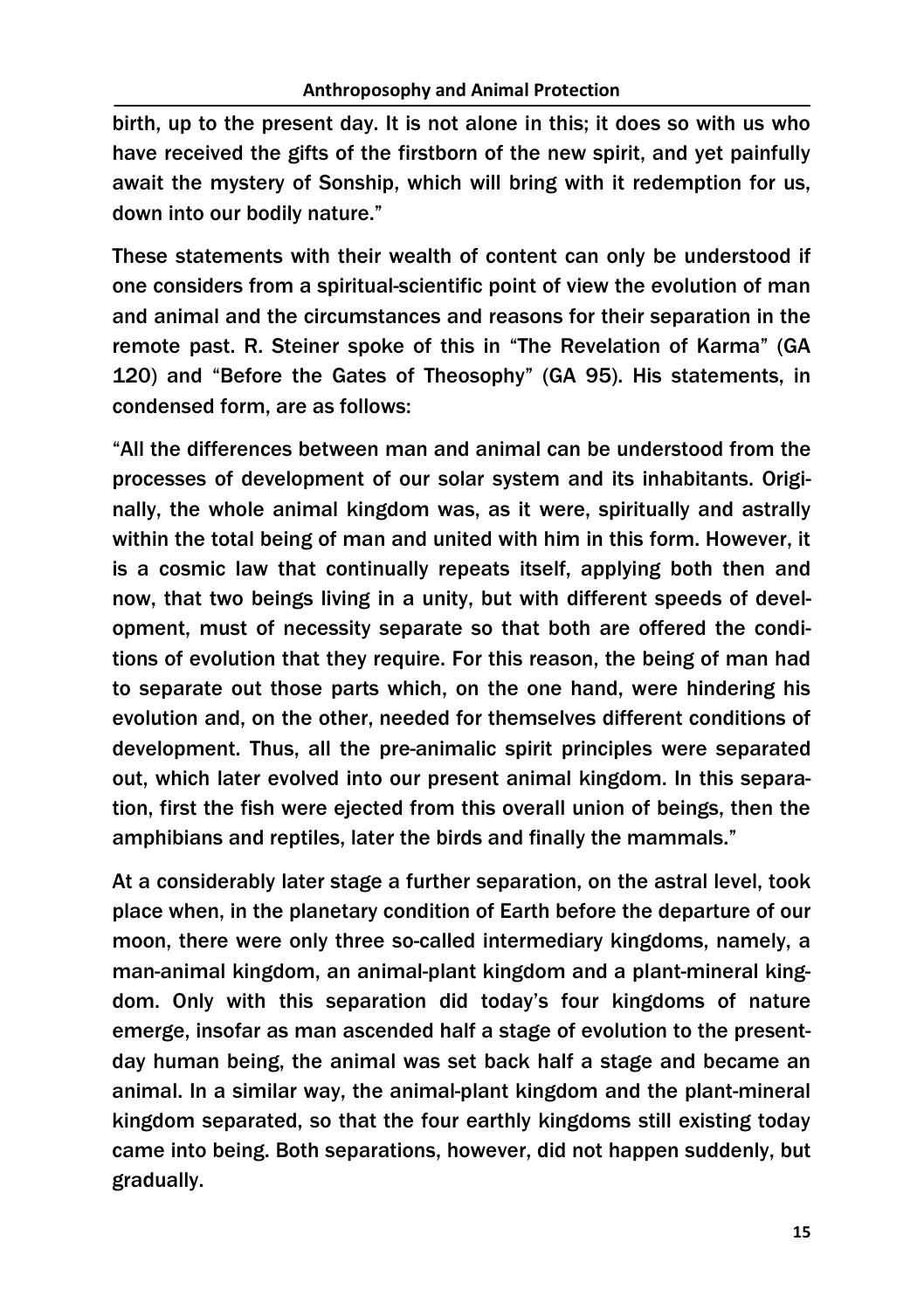birth, up to the present day. It is not alone in this; it does so with us who have received the gifts of the firstborn of the new spirit, and yet painfully await the mystery of Sonship, which will bring with it redemption for us, down into our bodily nature."

These statements with their wealth of content can only be understood if one considers from a spiritual-scientific point of view the evolution of man and animal and the circumstances and reasons for their separation in the remote past. R. Steiner spoke of this in "The Revelation of Karma" (GA 120) and "Before the Gates of Theosophy" (GA 95). His statements, in condensed form, are as follows:

"All the differences between man and animal can be understood from the processes of development of our solar system and its inhabitants. Originally, the whole animal kingdom was, as it were, spiritually and astrally within the total being of man and united with him in this form. However, it is a cosmic law that continually repeats itself, applying both then and now, that two beings living in a unity, but with different speeds of development, must of necessity separate so that both are offered the conditions of evolution that they require. For this reason, the being of man had to separate out those parts which, on the one hand, were hindering his evolution and, on the other, needed for themselves different conditions of development. Thus, all the pre-animalic spirit principles were separated out, which later evolved into our present animal kingdom. In this separation, first the fish were ejected from this overall union of beings, then the amphibians and reptiles, later the birds and finally the mammals."

At a considerably later stage a further separation, on the astral level, took place when, in the planetary condition of Earth before the departure of our moon, there were only three so-called intermediary kingdoms, namely, a man-animal kingdom, an animal-plant kingdom and a plant-mineral kingdom. Only with this separation did today's four kingdoms of nature emerge, insofar as man ascended half a stage of evolution to the presentday human being, the animal was set back half a stage and became an animal. In a similar way, the animal-plant kingdom and the plant-mineral kingdom separated, so that the four earthly kingdoms still existing today came into being. Both separations, however, did not happen suddenly, but gradually.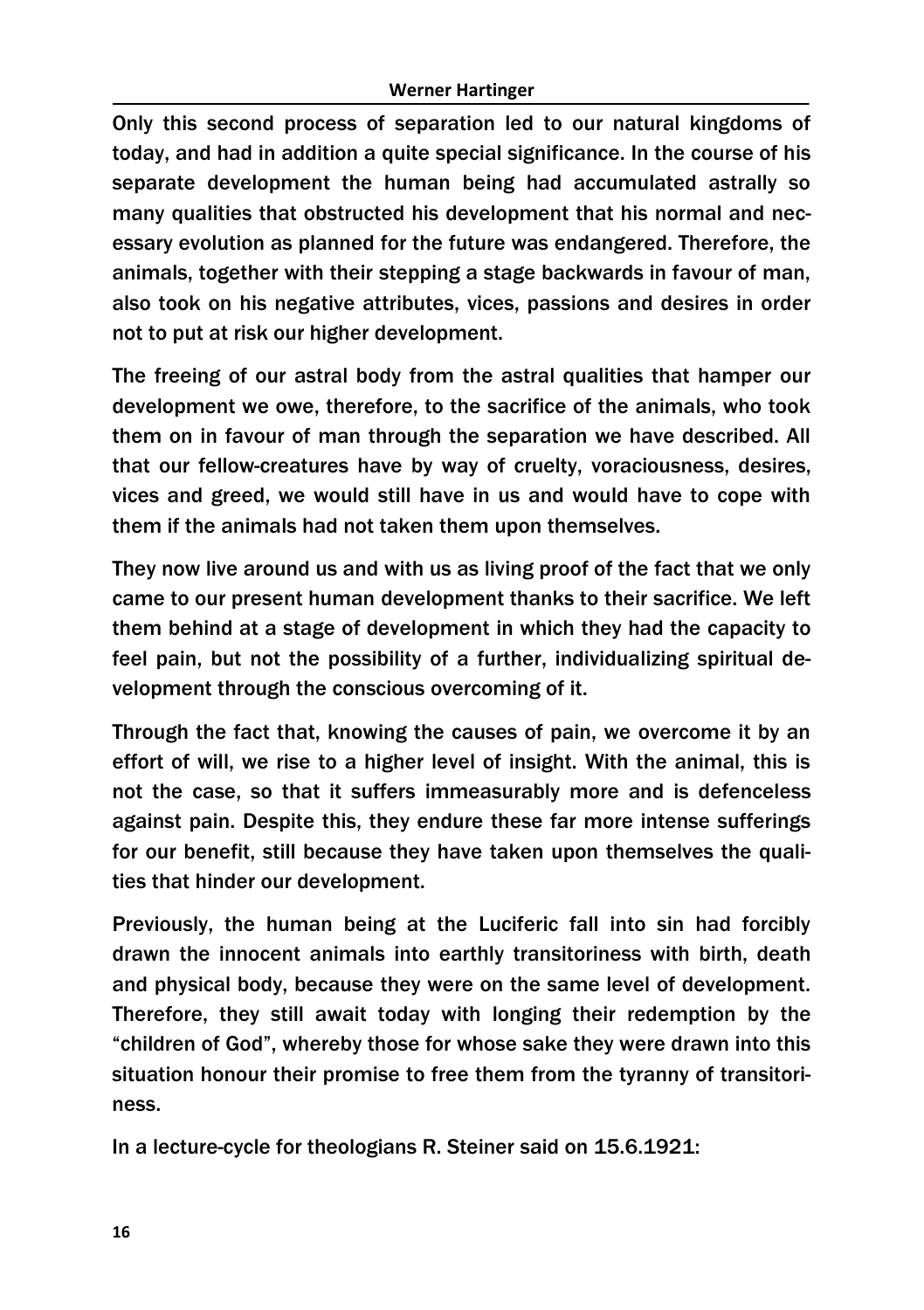Only this second process of separation led to our natural kingdoms of today, and had in addition a quite special significance. In the course of his separate development the human being had accumulated astrally so many qualities that obstructed his development that his normal and necessary evolution as planned for the future was endangered. Therefore, the animals, together with their stepping a stage backwards in favour of man, also took on his negative attributes, vices, passions and desires in order not to put at risk our higher development.

The freeing of our astral body from the astral qualities that hamper our development we owe, therefore, to the sacrifice of the animals, who took them on in favour of man through the separation we have described. All that our fellow-creatures have by way of cruelty, voraciousness, desires, vices and greed, we would still have in us and would have to cope with them if the animals had not taken them upon themselves.

They now live around us and with us as living proof of the fact that we only came to our present human development thanks to their sacrifice. We left them behind at a stage of development in which they had the capacity to feel pain, but not the possibility of a further, individualizing spiritual development through the conscious overcoming of it.

Through the fact that, knowing the causes of pain, we overcome it by an effort of will, we rise to a higher level of insight. With the animal, this is not the case, so that it suffers immeasurably more and is defenceless against pain. Despite this, they endure these far more intense sufferings for our benefit, still because they have taken upon themselves the qualities that hinder our development.

Previously, the human being at the Luciferic fall into sin had forcibly drawn the innocent animals into earthly transitoriness with birth, death and physical body, because they were on the same level of development. Therefore, they still await today with longing their redemption by the "children of God", whereby those for whose sake they were drawn into this situation honour their promise to free them from the tyranny of transitoriness.

In a lecture-cycle for theologians R. Steiner said on 15.6.1921: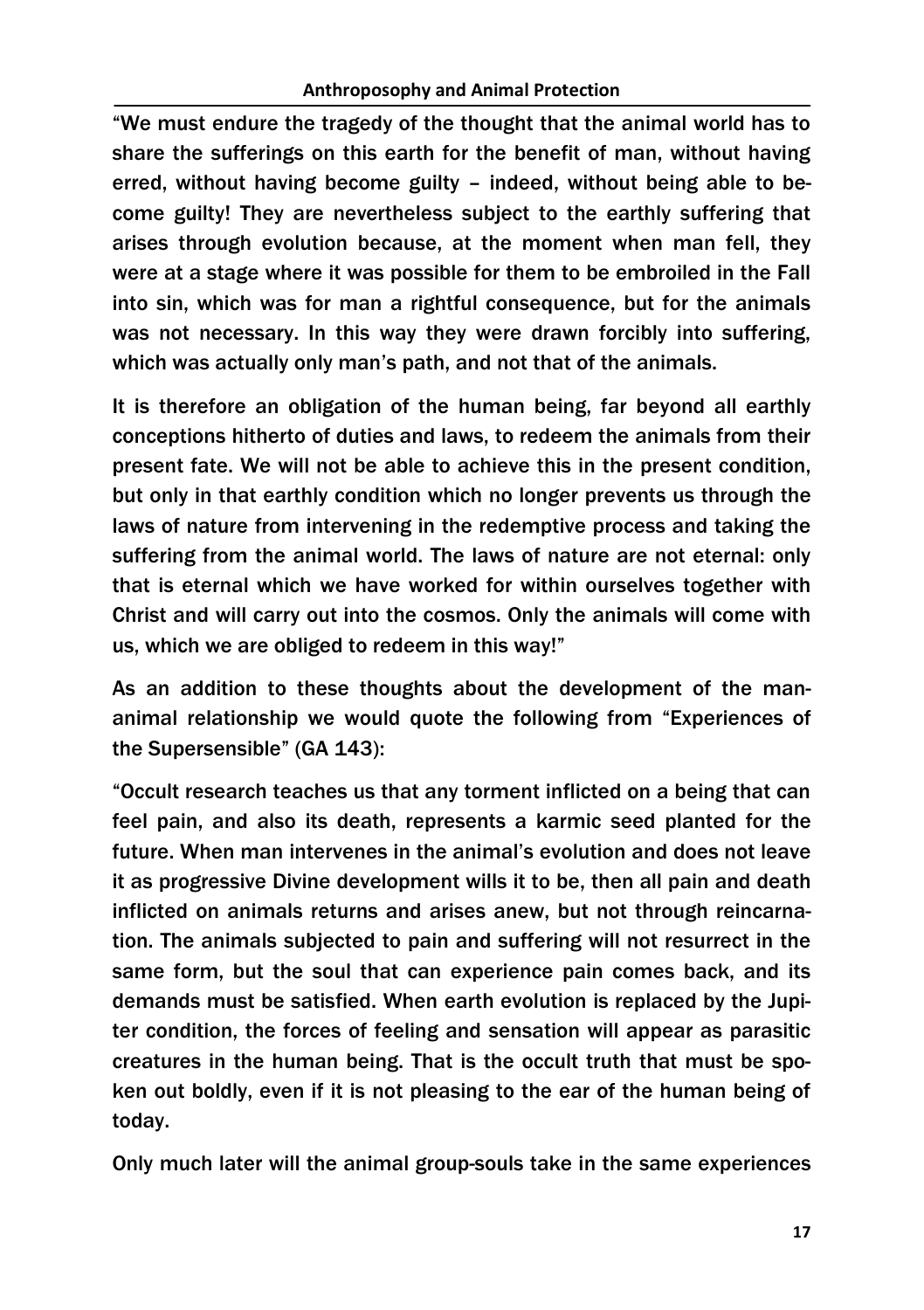"We must endure the tragedy of the thought that the animal world has to share the sufferings on this earth for the benefit of man, without having erred, without having become guilty – indeed, without being able to become guilty! They are nevertheless subject to the earthly suffering that arises through evolution because, at the moment when man fell, they were at a stage where it was possible for them to be embroiled in the Fall into sin, which was for man a rightful consequence, but for the animals was not necessary. In this way they were drawn forcibly into suffering, which was actually only man's path, and not that of the animals.

It is therefore an obligation of the human being, far beyond all earthly conceptions hitherto of duties and laws, to redeem the animals from their present fate. We will not be able to achieve this in the present condition, but only in that earthly condition which no longer prevents us through the laws of nature from intervening in the redemptive process and taking the suffering from the animal world. The laws of nature are not eternal: only that is eternal which we have worked for within ourselves together with Christ and will carry out into the cosmos. Only the animals will come with us, which we are obliged to redeem in this way!"

As an addition to these thoughts about the development of the mananimal relationship we would quote the following from "Experiences of the Supersensible" (GA 143):

"Occult research teaches us that any torment inflicted on a being that can feel pain, and also its death, represents a karmic seed planted for the future. When man intervenes in the animal's evolution and does not leave it as progressive Divine development wills it to be, then all pain and death inflicted on animals returns and arises anew, but not through reincarnation. The animals subjected to pain and suffering will not resurrect in the same form, but the soul that can experience pain comes back, and its demands must be satisfied. When earth evolution is replaced by the Jupiter condition, the forces of feeling and sensation will appear as parasitic creatures in the human being. That is the occult truth that must be spoken out boldly, even if it is not pleasing to the ear of the human being of today.

Only much later will the animal group-souls take in the same experiences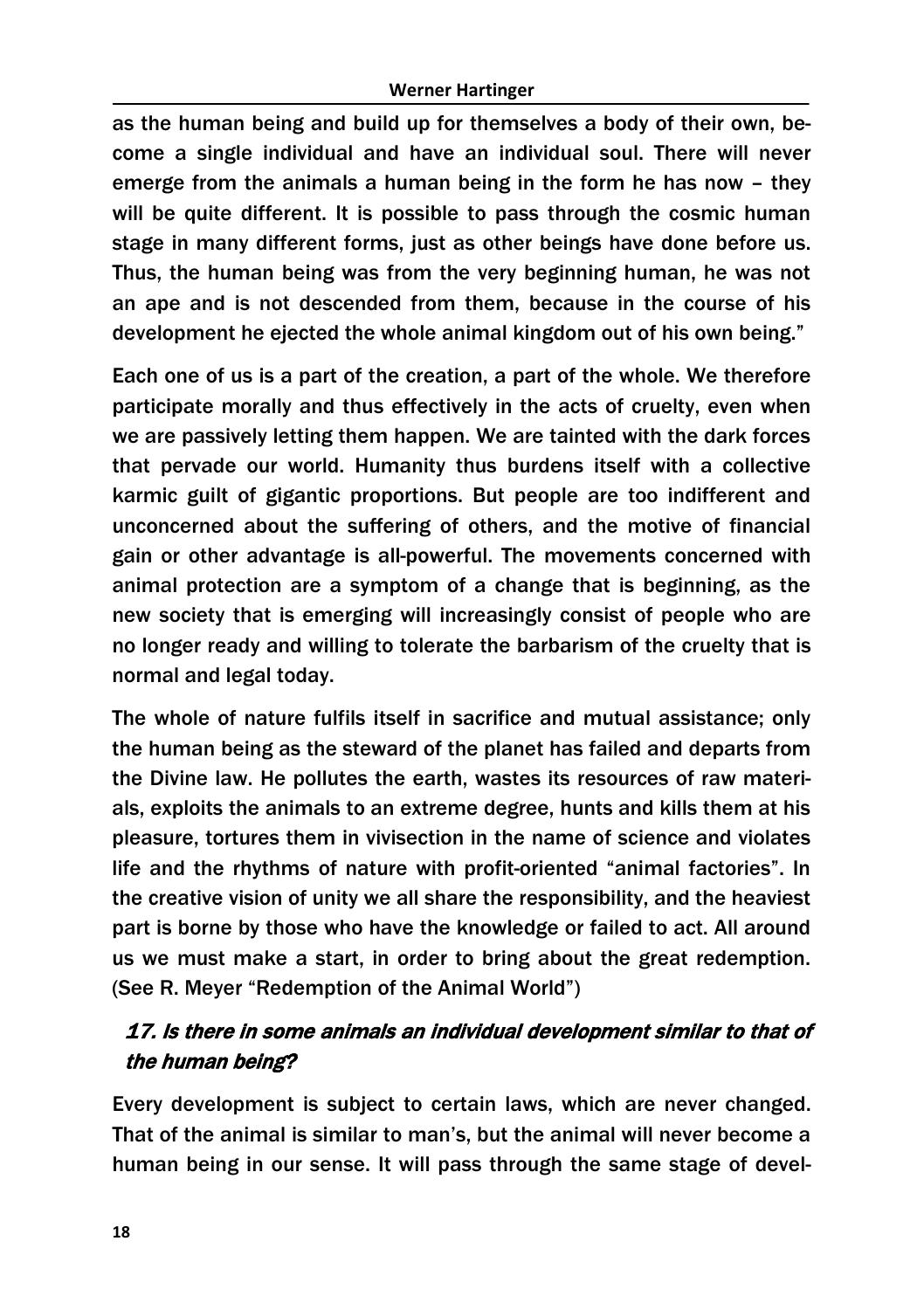as the human being and build up for themselves a body of their own, become a single individual and have an individual soul. There will never emerge from the animals a human being in the form he has now – they will be quite different. It is possible to pass through the cosmic human stage in many different forms, just as other beings have done before us. Thus, the human being was from the very beginning human, he was not an ape and is not descended from them, because in the course of his development he ejected the whole animal kingdom out of his own being."

Each one of us is a part of the creation, a part of the whole. We therefore participate morally and thus effectively in the acts of cruelty, even when we are passively letting them happen. We are tainted with the dark forces that pervade our world. Humanity thus burdens itself with a collective karmic guilt of gigantic proportions. But people are too indifferent and unconcerned about the suffering of others, and the motive of financial gain or other advantage is all-powerful. The movements concerned with animal protection are a symptom of a change that is beginning, as the new society that is emerging will increasingly consist of people who are no longer ready and willing to tolerate the barbarism of the cruelty that is normal and legal today.

The whole of nature fulfils itself in sacrifice and mutual assistance; only the human being as the steward of the planet has failed and departs from the Divine law. He pollutes the earth, wastes its resources of raw materials, exploits the animals to an extreme degree, hunts and kills them at his pleasure, tortures them in vivisection in the name of science and violates life and the rhythms of nature with profit-oriented "animal factories". In the creative vision of unity we all share the responsibility, and the heaviest part is borne by those who have the knowledge or failed to act. All around us we must make a start, in order to bring about the great redemption. (See R. Meyer "Redemption of the Animal World")

### 17. Is there in some animals an individual development similar to that of the human being?

Every development is subject to certain laws, which are never changed. That of the animal is similar to man's, but the animal will never become a human being in our sense. It will pass through the same stage of devel-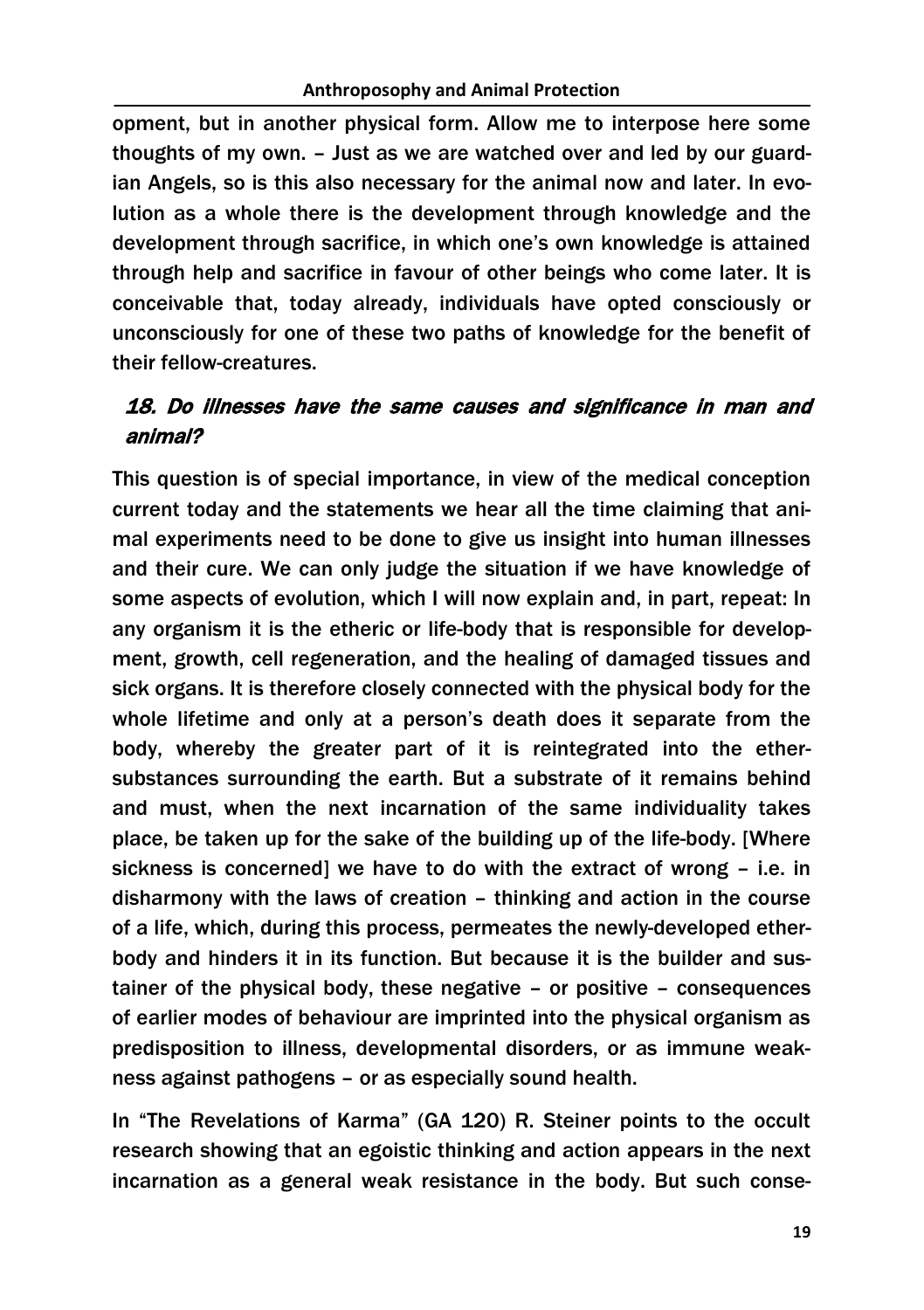opment, but in another physical form. Allow me to interpose here some thoughts of my own. – Just as we are watched over and led by our guardian Angels, so is this also necessary for the animal now and later. In evolution as a whole there is the development through knowledge and the development through sacrifice, in which one's own knowledge is attained through help and sacrifice in favour of other beings who come later. It is conceivable that, today already, individuals have opted consciously or unconsciously for one of these two paths of knowledge for the benefit of their fellow-creatures.

### 18. Do illnesses have the same causes and significance in man and animal?

This question is of special importance, in view of the medical conception current today and the statements we hear all the time claiming that animal experiments need to be done to give us insight into human illnesses and their cure. We can only judge the situation if we have knowledge of some aspects of evolution, which I will now explain and, in part, repeat: In any organism it is the etheric or life-body that is responsible for development, growth, cell regeneration, and the healing of damaged tissues and sick organs. It is therefore closely connected with the physical body for the whole lifetime and only at a person's death does it separate from the body, whereby the greater part of it is reintegrated into the ethersubstances surrounding the earth. But a substrate of it remains behind and must, when the next incarnation of the same individuality takes place, be taken up for the sake of the building up of the life-body. [Where sickness is concerned] we have to do with the extract of wrong – i.e. in disharmony with the laws of creation – thinking and action in the course of a life, which, during this process, permeates the newly-developed etherbody and hinders it in its function. But because it is the builder and sustainer of the physical body, these negative – or positive – consequences of earlier modes of behaviour are imprinted into the physical organism as predisposition to illness, developmental disorders, or as immune weakness against pathogens – or as especially sound health.

In "The Revelations of Karma" (GA 120) R. Steiner points to the occult research showing that an egoistic thinking and action appears in the next incarnation as a general weak resistance in the body. But such conse-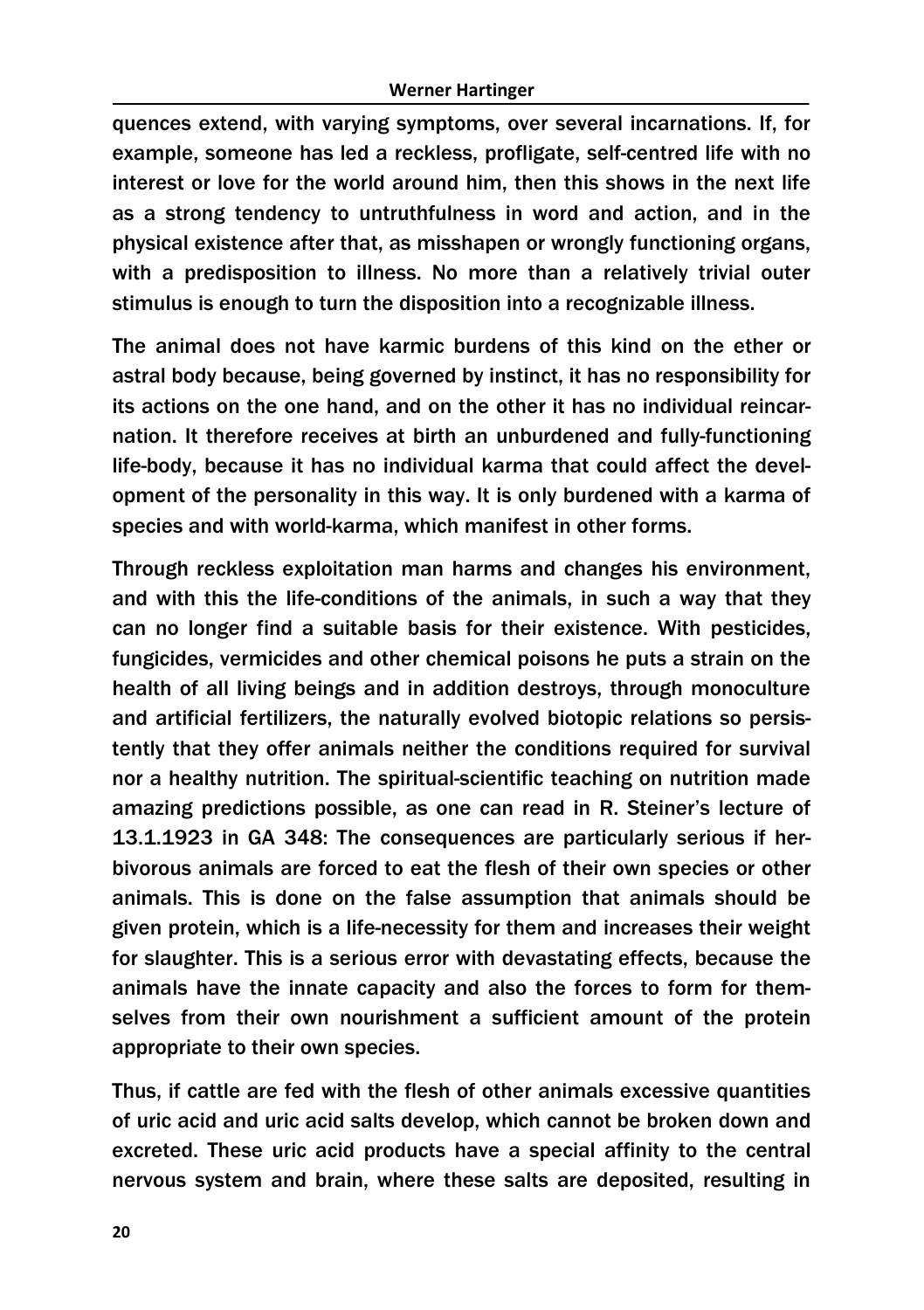quences extend, with varying symptoms, over several incarnations. If, for example, someone has led a reckless, profligate, self-centred life with no interest or love for the world around him, then this shows in the next life as a strong tendency to untruthfulness in word and action, and in the physical existence after that, as misshapen or wrongly functioning organs, with a predisposition to illness. No more than a relatively trivial outer stimulus is enough to turn the disposition into a recognizable illness.

The animal does not have karmic burdens of this kind on the ether or astral body because, being governed by instinct, it has no responsibility for its actions on the one hand, and on the other it has no individual reincarnation. It therefore receives at birth an unburdened and fully-functioning life-body, because it has no individual karma that could affect the development of the personality in this way. It is only burdened with a karma of species and with world-karma, which manifest in other forms.

Through reckless exploitation man harms and changes his environment, and with this the life-conditions of the animals, in such a way that they can no longer find a suitable basis for their existence. With pesticides, fungicides, vermicides and other chemical poisons he puts a strain on the health of all living beings and in addition destroys, through monoculture and artificial fertilizers, the naturally evolved biotopic relations so persistently that they offer animals neither the conditions required for survival nor a healthy nutrition. The spiritual-scientific teaching on nutrition made amazing predictions possible, as one can read in R. Steiner's lecture of 13.1.1923 in GA 348: The consequences are particularly serious if herbivorous animals are forced to eat the flesh of their own species or other animals. This is done on the false assumption that animals should be given protein, which is a life-necessity for them and increases their weight for slaughter. This is a serious error with devastating effects, because the animals have the innate capacity and also the forces to form for themselves from their own nourishment a sufficient amount of the protein appropriate to their own species.

Thus, if cattle are fed with the flesh of other animals excessive quantities of uric acid and uric acid salts develop, which cannot be broken down and excreted. These uric acid products have a special affinity to the central nervous system and brain, where these salts are deposited, resulting in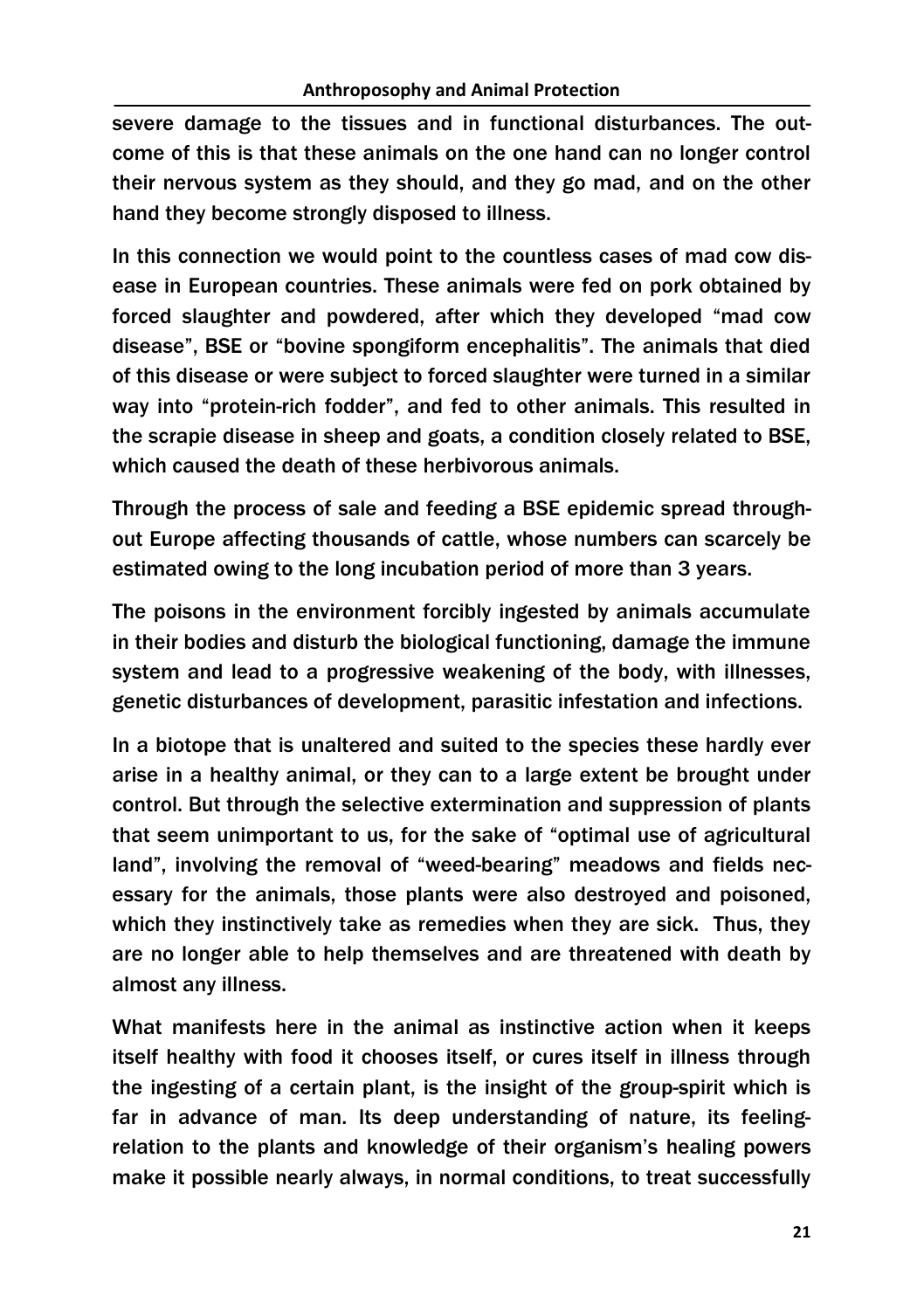severe damage to the tissues and in functional disturbances. The outcome of this is that these animals on the one hand can no longer control their nervous system as they should, and they go mad, and on the other hand they become strongly disposed to illness.

In this connection we would point to the countless cases of mad cow disease in European countries. These animals were fed on pork obtained by forced slaughter and powdered, after which they developed "mad cow disease", BSE or "bovine spongiform encephalitis". The animals that died of this disease or were subject to forced slaughter were turned in a similar way into "protein-rich fodder", and fed to other animals. This resulted in the scrapie disease in sheep and goats, a condition closely related to BSE, which caused the death of these herbivorous animals.

Through the process of sale and feeding a BSE epidemic spread throughout Europe affecting thousands of cattle, whose numbers can scarcely be estimated owing to the long incubation period of more than 3 years.

The poisons in the environment forcibly ingested by animals accumulate in their bodies and disturb the biological functioning, damage the immune system and lead to a progressive weakening of the body, with illnesses, genetic disturbances of development, parasitic infestation and infections.

In a biotope that is unaltered and suited to the species these hardly ever arise in a healthy animal, or they can to a large extent be brought under control. But through the selective extermination and suppression of plants that seem unimportant to us, for the sake of "optimal use of agricultural land", involving the removal of "weed-bearing" meadows and fields necessary for the animals, those plants were also destroyed and poisoned, which they instinctively take as remedies when they are sick. Thus, they are no longer able to help themselves and are threatened with death by almost any illness.

What manifests here in the animal as instinctive action when it keeps itself healthy with food it chooses itself, or cures itself in illness through the ingesting of a certain plant, is the insight of the group-spirit which is far in advance of man. Its deep understanding of nature, its feelingrelation to the plants and knowledge of their organism's healing powers make it possible nearly always, in normal conditions, to treat successfully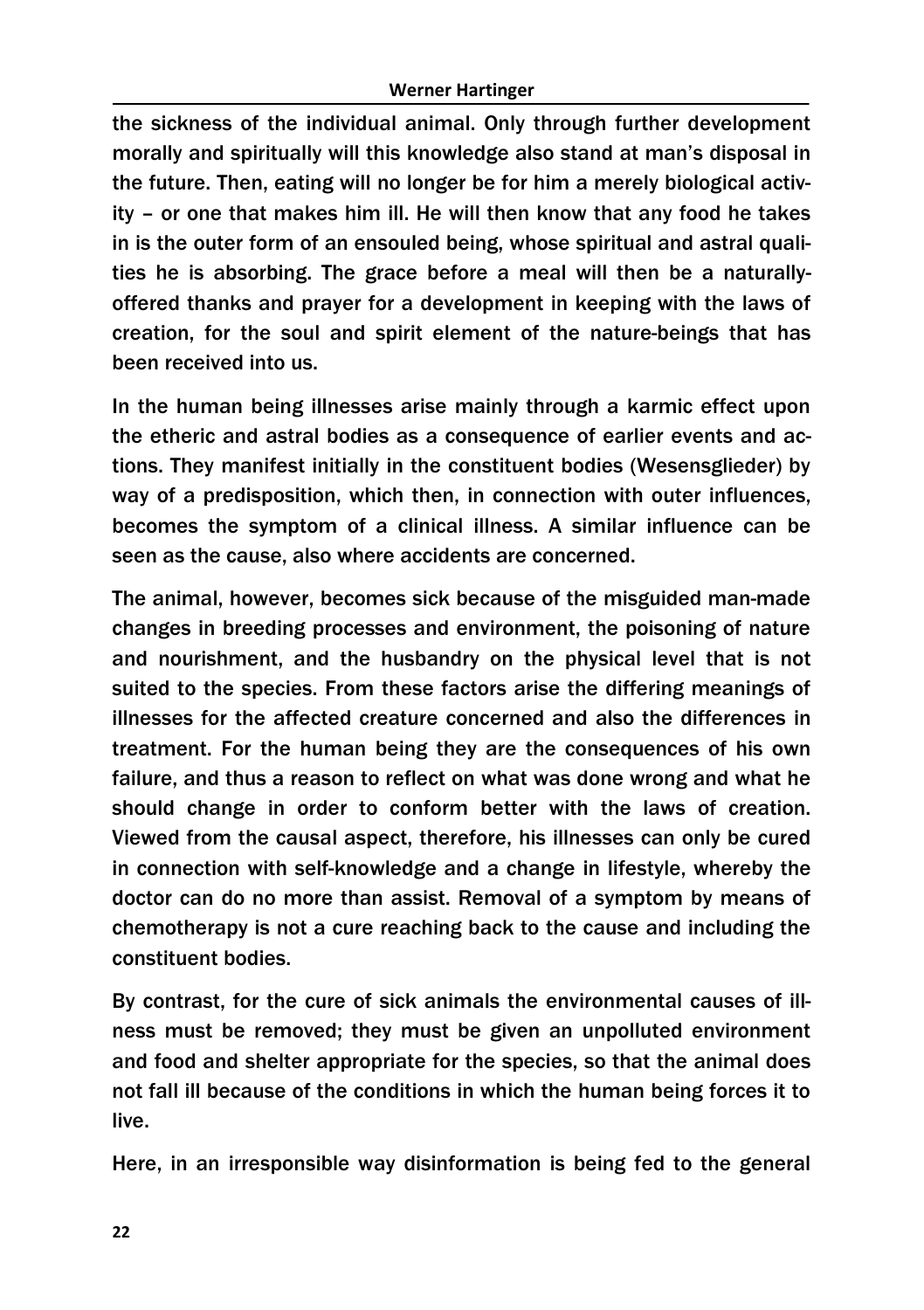the sickness of the individual animal. Only through further development morally and spiritually will this knowledge also stand at man's disposal in the future. Then, eating will no longer be for him a merely biological activity – or one that makes him ill. He will then know that any food he takes in is the outer form of an ensouled being, whose spiritual and astral qualities he is absorbing. The grace before a meal will then be a naturallyoffered thanks and prayer for a development in keeping with the laws of creation, for the soul and spirit element of the nature-beings that has been received into us.

In the human being illnesses arise mainly through a karmic effect upon the etheric and astral bodies as a consequence of earlier events and actions. They manifest initially in the constituent bodies (Wesensglieder) by way of a predisposition, which then, in connection with outer influences, becomes the symptom of a clinical illness. A similar influence can be seen as the cause, also where accidents are concerned.

The animal, however, becomes sick because of the misguided man-made changes in breeding processes and environment, the poisoning of nature and nourishment, and the husbandry on the physical level that is not suited to the species. From these factors arise the differing meanings of illnesses for the affected creature concerned and also the differences in treatment. For the human being they are the consequences of his own failure, and thus a reason to reflect on what was done wrong and what he should change in order to conform better with the laws of creation. Viewed from the causal aspect, therefore, his illnesses can only be cured in connection with self-knowledge and a change in lifestyle, whereby the doctor can do no more than assist. Removal of a symptom by means of chemotherapy is not a cure reaching back to the cause and including the constituent bodies.

By contrast, for the cure of sick animals the environmental causes of illness must be removed; they must be given an unpolluted environment and food and shelter appropriate for the species, so that the animal does not fall ill because of the conditions in which the human being forces it to live.

Here, in an irresponsible way disinformation is being fed to the general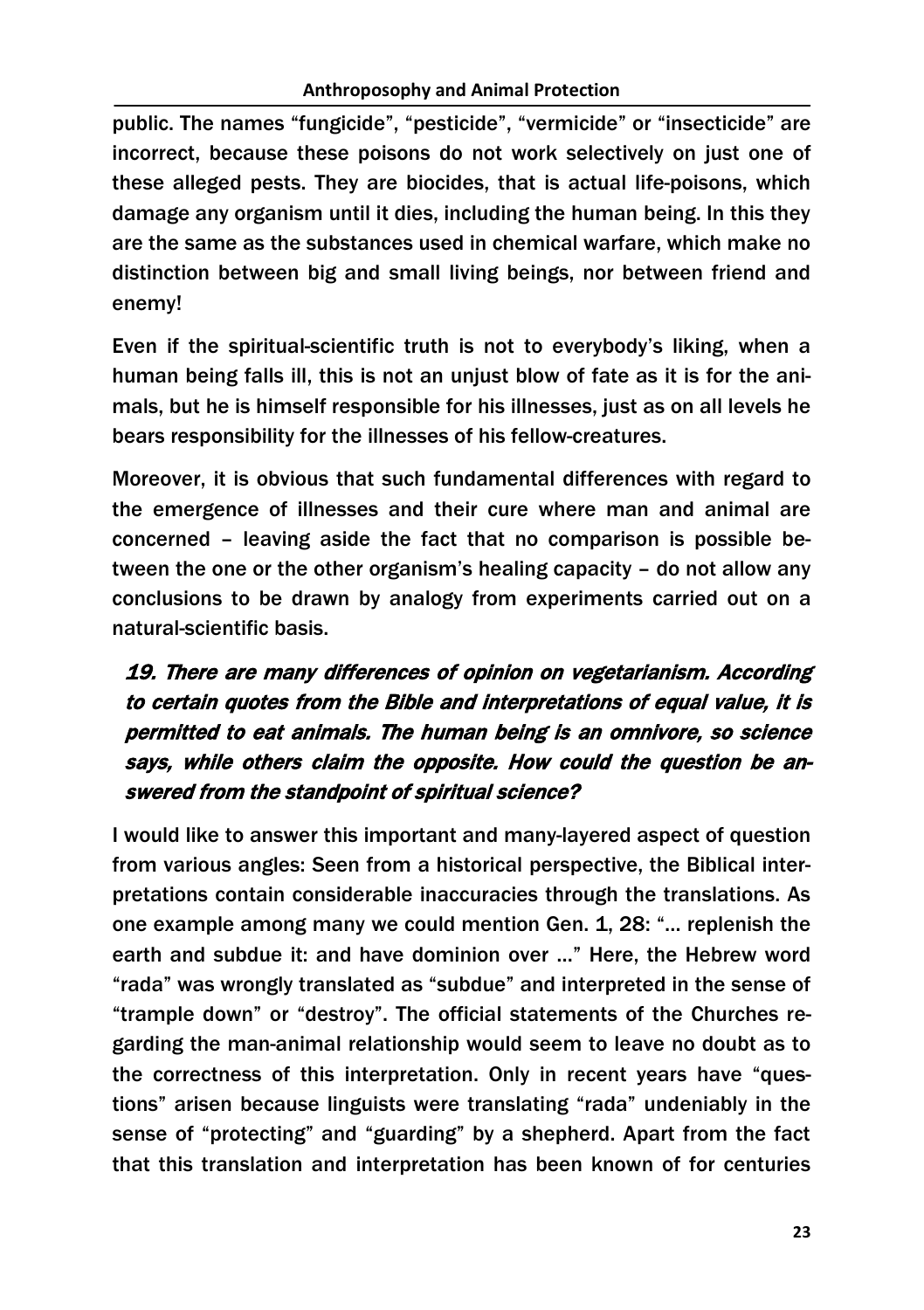public. The names "fungicide", "pesticide", "vermicide" or "insecticide" are incorrect, because these poisons do not work selectively on just one of these alleged pests. They are biocides, that is actual life-poisons, which damage any organism until it dies, including the human being. In this they are the same as the substances used in chemical warfare, which make no distinction between big and small living beings, nor between friend and enemy!

Even if the spiritual-scientific truth is not to everybody's liking, when a human being falls ill, this is not an unjust blow of fate as it is for the animals, but he is himself responsible for his illnesses, just as on all levels he bears responsibility for the illnesses of his fellow-creatures.

Moreover, it is obvious that such fundamental differences with regard to the emergence of illnesses and their cure where man and animal are concerned – leaving aside the fact that no comparison is possible between the one or the other organism's healing capacity – do not allow any conclusions to be drawn by analogy from experiments carried out on a natural-scientific basis.

# 19. There are many differences of opinion on vegetarianism. According to certain quotes from the Bible and interpretations of equal value, it is permitted to eat animals. The human being is an omnivore, so science says, while others claim the opposite. How could the question be answered from the standpoint of spiritual science?

I would like to answer this important and many-layered aspect of question from various angles: Seen from a historical perspective, the Biblical interpretations contain considerable inaccuracies through the translations. As one example among many we could mention Gen. 1, 28: "… replenish the earth and subdue it: and have dominion over …" Here, the Hebrew word "rada" was wrongly translated as "subdue" and interpreted in the sense of "trample down" or "destroy". The official statements of the Churches regarding the man-animal relationship would seem to leave no doubt as to the correctness of this interpretation. Only in recent years have "questions" arisen because linguists were translating "rada" undeniably in the sense of "protecting" and "guarding" by a shepherd. Apart from the fact that this translation and interpretation has been known of for centuries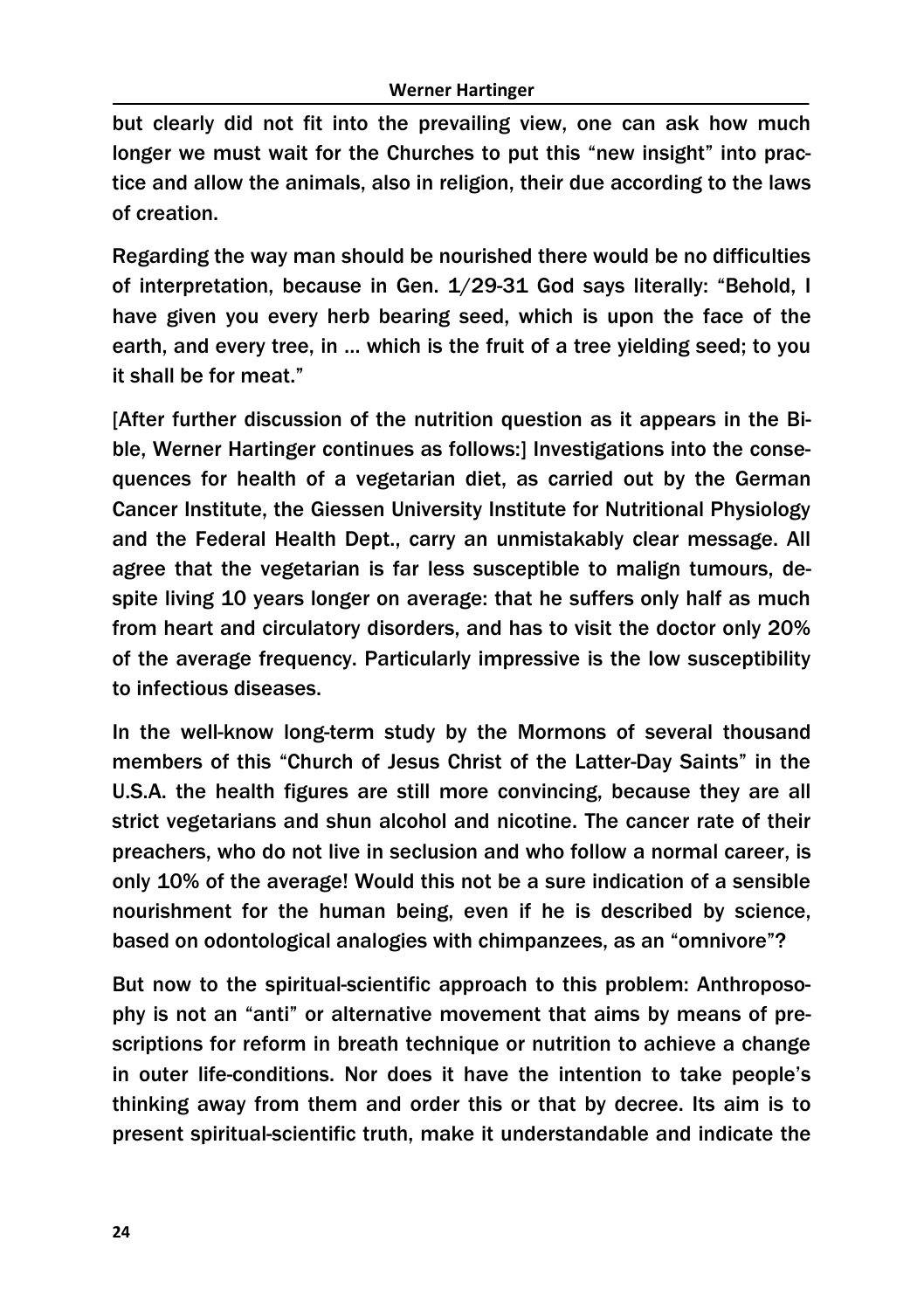but clearly did not fit into the prevailing view, one can ask how much longer we must wait for the Churches to put this "new insight" into practice and allow the animals, also in religion, their due according to the laws of creation.

Regarding the way man should be nourished there would be no difficulties of interpretation, because in Gen. 1/29-31 God says literally: "Behold, I have given you every herb bearing seed, which is upon the face of the earth, and every tree, in … which is the fruit of a tree yielding seed; to you it shall be for meat."

[After further discussion of the nutrition question as it appears in the Bible, Werner Hartinger continues as follows:] Investigations into the consequences for health of a vegetarian diet, as carried out by the German Cancer Institute, the Giessen University Institute for Nutritional Physiology and the Federal Health Dept., carry an unmistakably clear message. All agree that the vegetarian is far less susceptible to malign tumours, despite living 10 years longer on average: that he suffers only half as much from heart and circulatory disorders, and has to visit the doctor only 20% of the average frequency. Particularly impressive is the low susceptibility to infectious diseases.

In the well-know long-term study by the Mormons of several thousand members of this "Church of Jesus Christ of the Latter-Day Saints" in the U.S.A. the health figures are still more convincing, because they are all strict vegetarians and shun alcohol and nicotine. The cancer rate of their preachers, who do not live in seclusion and who follow a normal career, is only 10% of the average! Would this not be a sure indication of a sensible nourishment for the human being, even if he is described by science, based on odontological analogies with chimpanzees, as an "omnivore"?

But now to the spiritual-scientific approach to this problem: Anthroposophy is not an "anti" or alternative movement that aims by means of prescriptions for reform in breath technique or nutrition to achieve a change in outer life-conditions. Nor does it have the intention to take people's thinking away from them and order this or that by decree. Its aim is to present spiritual-scientific truth, make it understandable and indicate the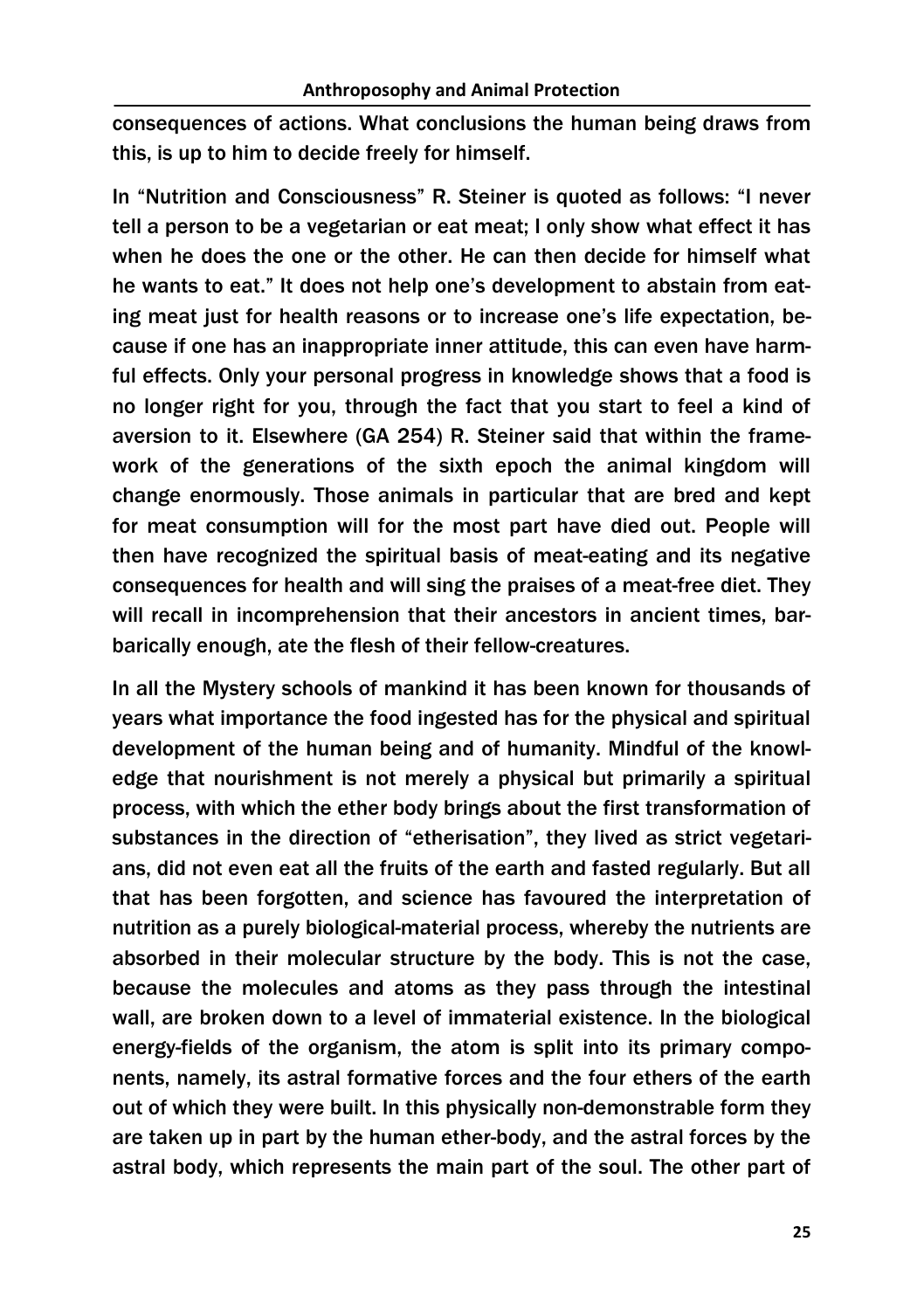consequences of actions. What conclusions the human being draws from this, is up to him to decide freely for himself.

In "Nutrition and Consciousness" R. Steiner is quoted as follows: "I never tell a person to be a vegetarian or eat meat; I only show what effect it has when he does the one or the other. He can then decide for himself what he wants to eat." It does not help one's development to abstain from eating meat just for health reasons or to increase one's life expectation, because if one has an inappropriate inner attitude, this can even have harmful effects. Only your personal progress in knowledge shows that a food is no longer right for you, through the fact that you start to feel a kind of aversion to it. Elsewhere (GA 254) R. Steiner said that within the framework of the generations of the sixth epoch the animal kingdom will change enormously. Those animals in particular that are bred and kept for meat consumption will for the most part have died out. People will then have recognized the spiritual basis of meat-eating and its negative consequences for health and will sing the praises of a meat-free diet. They will recall in incomprehension that their ancestors in ancient times, barbarically enough, ate the flesh of their fellow-creatures.

In all the Mystery schools of mankind it has been known for thousands of years what importance the food ingested has for the physical and spiritual development of the human being and of humanity. Mindful of the knowledge that nourishment is not merely a physical but primarily a spiritual process, with which the ether body brings about the first transformation of substances in the direction of "etherisation", they lived as strict vegetarians, did not even eat all the fruits of the earth and fasted regularly. But all that has been forgotten, and science has favoured the interpretation of nutrition as a purely biological-material process, whereby the nutrients are absorbed in their molecular structure by the body. This is not the case, because the molecules and atoms as they pass through the intestinal wall, are broken down to a level of immaterial existence. In the biological energy-fields of the organism, the atom is split into its primary components, namely, its astral formative forces and the four ethers of the earth out of which they were built. In this physically non-demonstrable form they are taken up in part by the human ether-body, and the astral forces by the astral body, which represents the main part of the soul. The other part of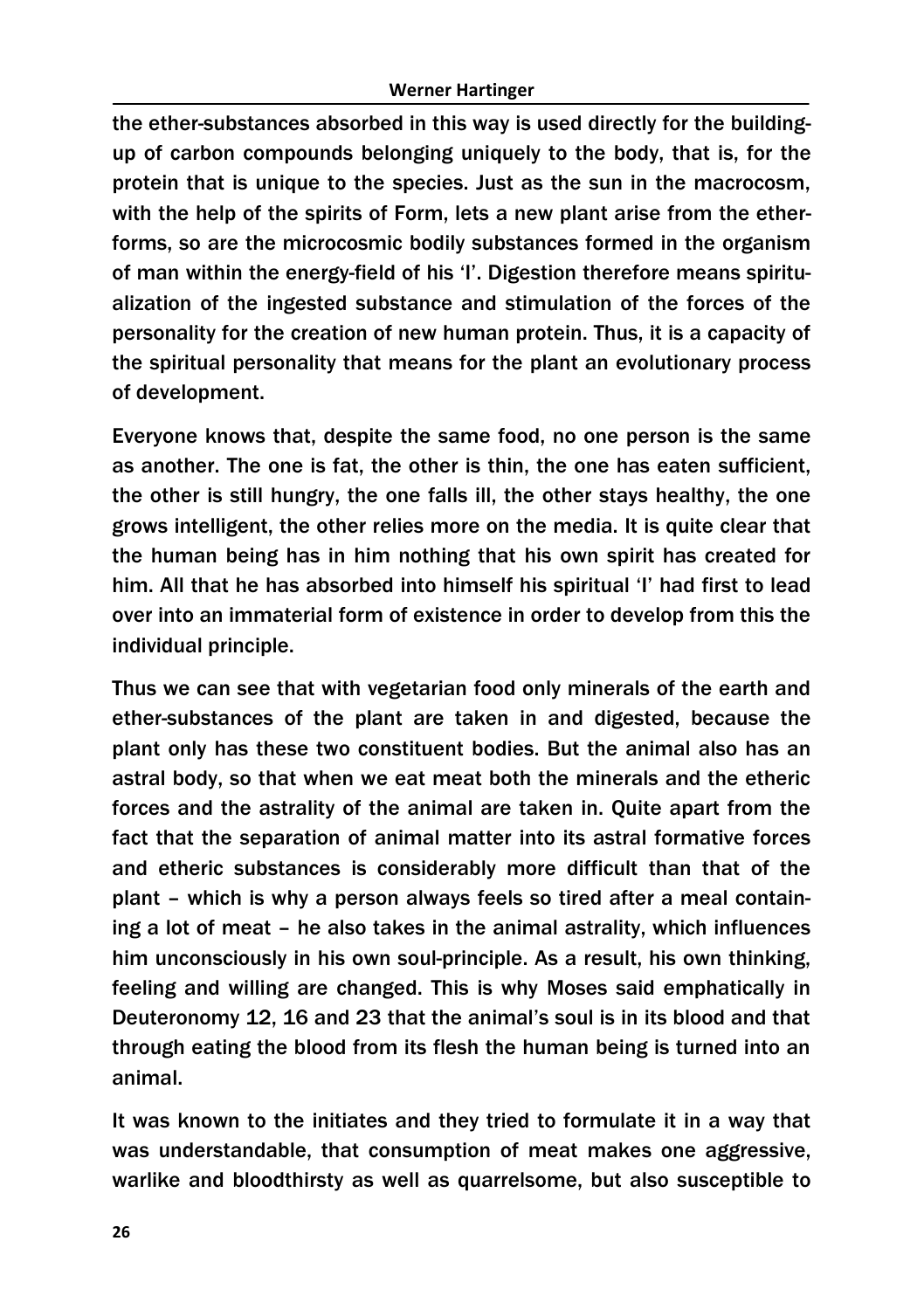the ether-substances absorbed in this way is used directly for the buildingup of carbon compounds belonging uniquely to the body, that is, for the protein that is unique to the species. Just as the sun in the macrocosm, with the help of the spirits of Form, lets a new plant arise from the etherforms, so are the microcosmic bodily substances formed in the organism of man within the energy-field of his 'I'. Digestion therefore means spiritualization of the ingested substance and stimulation of the forces of the personality for the creation of new human protein. Thus, it is a capacity of the spiritual personality that means for the plant an evolutionary process of development.

Everyone knows that, despite the same food, no one person is the same as another. The one is fat, the other is thin, the one has eaten sufficient, the other is still hungry, the one falls ill, the other stays healthy, the one grows intelligent, the other relies more on the media. It is quite clear that the human being has in him nothing that his own spirit has created for him. All that he has absorbed into himself his spiritual 'I' had first to lead over into an immaterial form of existence in order to develop from this the individual principle.

Thus we can see that with vegetarian food only minerals of the earth and ether-substances of the plant are taken in and digested, because the plant only has these two constituent bodies. But the animal also has an astral body, so that when we eat meat both the minerals and the etheric forces and the astrality of the animal are taken in. Quite apart from the fact that the separation of animal matter into its astral formative forces and etheric substances is considerably more difficult than that of the plant – which is why a person always feels so tired after a meal containing a lot of meat – he also takes in the animal astrality, which influences him unconsciously in his own soul-principle. As a result, his own thinking, feeling and willing are changed. This is why Moses said emphatically in Deuteronomy 12, 16 and 23 that the animal's soul is in its blood and that through eating the blood from its flesh the human being is turned into an animal.

It was known to the initiates and they tried to formulate it in a way that was understandable, that consumption of meat makes one aggressive, warlike and bloodthirsty as well as quarrelsome, but also susceptible to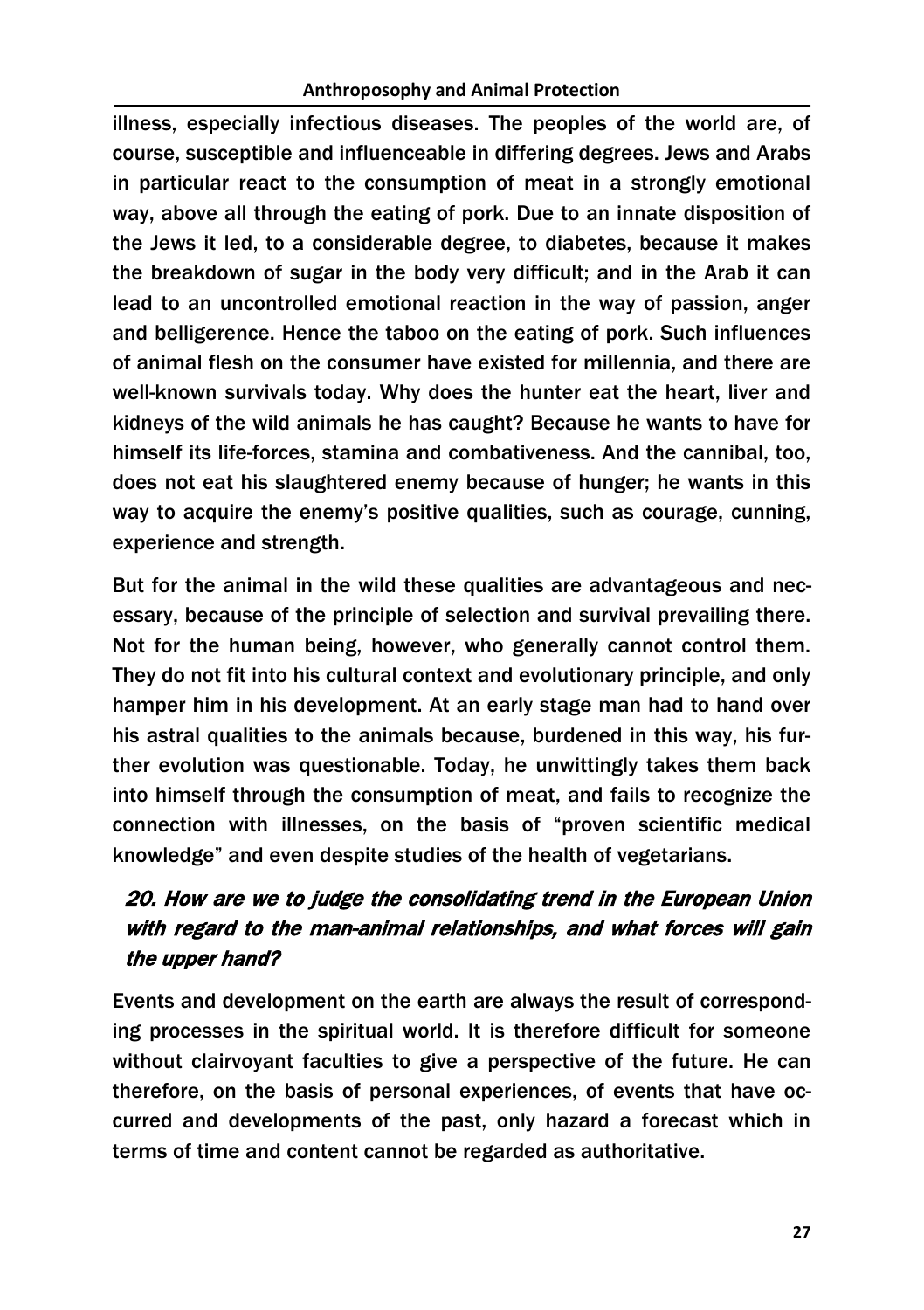illness, especially infectious diseases. The peoples of the world are, of course, susceptible and influenceable in differing degrees. Jews and Arabs in particular react to the consumption of meat in a strongly emotional way, above all through the eating of pork. Due to an innate disposition of the Jews it led, to a considerable degree, to diabetes, because it makes the breakdown of sugar in the body very difficult; and in the Arab it can lead to an uncontrolled emotional reaction in the way of passion, anger and belligerence. Hence the taboo on the eating of pork. Such influences of animal flesh on the consumer have existed for millennia, and there are well-known survivals today. Why does the hunter eat the heart, liver and kidneys of the wild animals he has caught? Because he wants to have for himself its life-forces, stamina and combativeness. And the cannibal, too, does not eat his slaughtered enemy because of hunger; he wants in this way to acquire the enemy's positive qualities, such as courage, cunning, experience and strength.

But for the animal in the wild these qualities are advantageous and necessary, because of the principle of selection and survival prevailing there. Not for the human being, however, who generally cannot control them. They do not fit into his cultural context and evolutionary principle, and only hamper him in his development. At an early stage man had to hand over his astral qualities to the animals because, burdened in this way, his further evolution was questionable. Today, he unwittingly takes them back into himself through the consumption of meat, and fails to recognize the connection with illnesses, on the basis of "proven scientific medical knowledge" and even despite studies of the health of vegetarians.

# 20. How are we to judge the consolidating trend in the European Union with regard to the man-animal relationships, and what forces will gain the upper hand?

Events and development on the earth are always the result of corresponding processes in the spiritual world. It is therefore difficult for someone without clairvoyant faculties to give a perspective of the future. He can therefore, on the basis of personal experiences, of events that have occurred and developments of the past, only hazard a forecast which in terms of time and content cannot be regarded as authoritative.